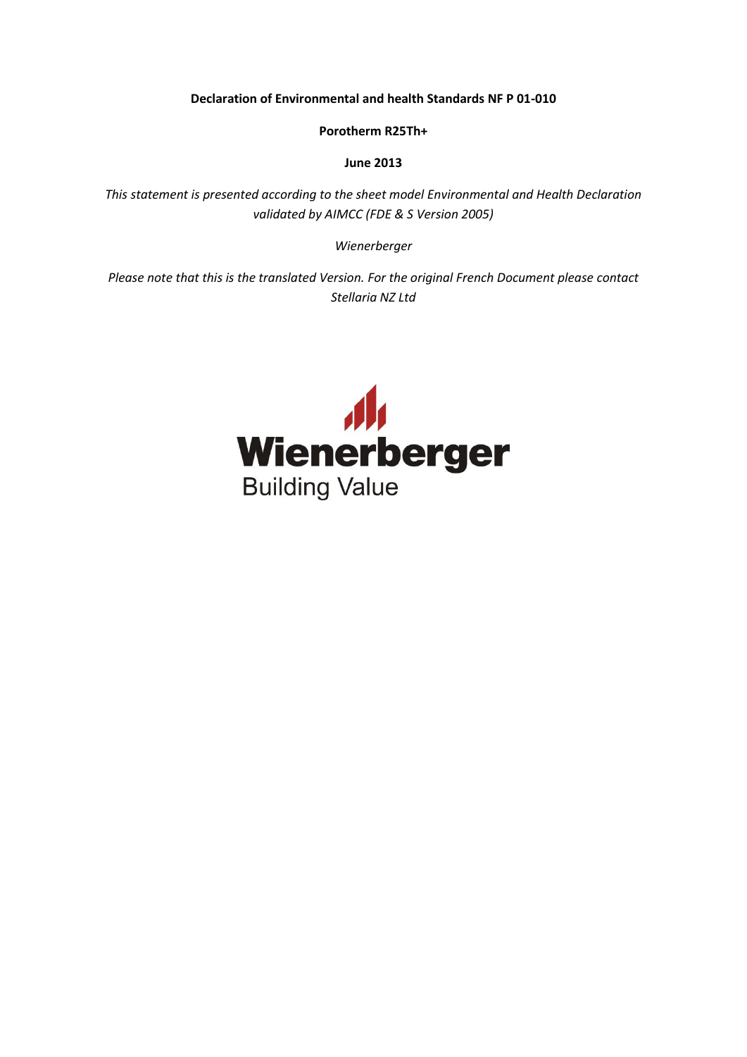**Declaration of Environmental and health Standards NF P 01-010**

**Porotherm R25Th+**

**June 2013**

*This statement is presented according to the sheet model Environmental and Health Declaration validated by AIMCC (FDE & S Version 2005)*

*Wienerberger*

*Please note that this is the translated Version. For the original French Document please contact Stellaria NZ Ltd*

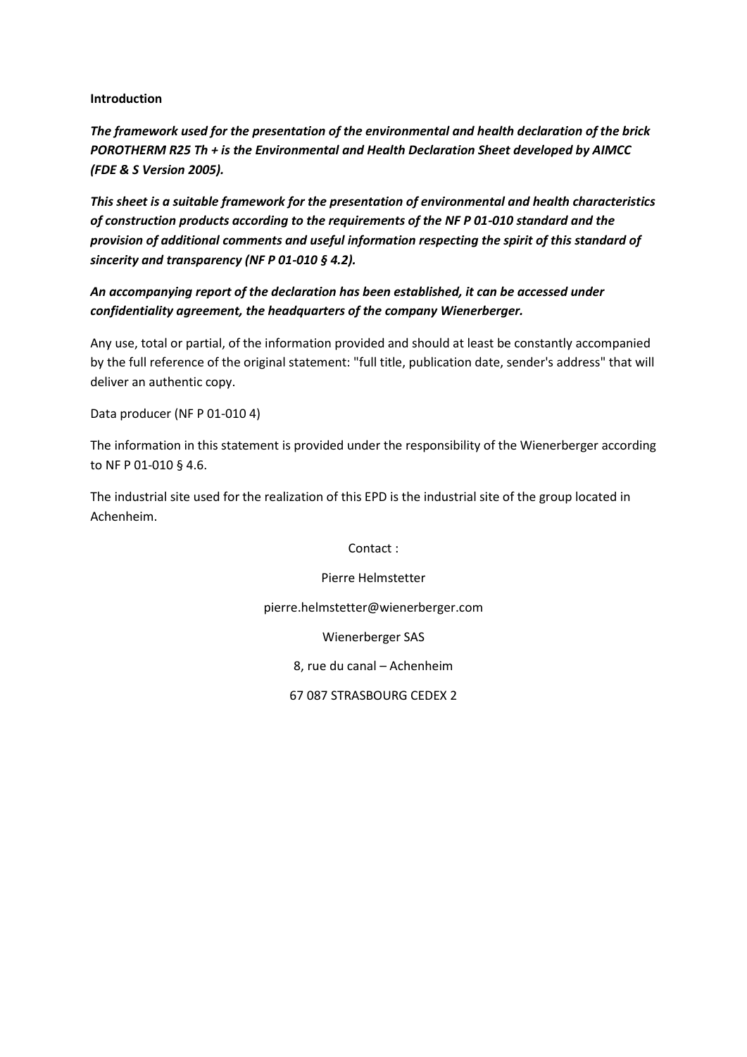#### **Introduction**

*The framework used for the presentation of the environmental and health declaration of the brick POROTHERM R25 Th + is the Environmental and Health Declaration Sheet developed by AIMCC (FDE & S Version 2005).*

*This sheet is a suitable framework for the presentation of environmental and health characteristics of construction products according to the requirements of the NF P 01-010 standard and the provision of additional comments and useful information respecting the spirit of this standard of sincerity and transparency (NF P 01-010 § 4.2).*

*An accompanying report of the declaration has been established, it can be accessed under confidentiality agreement, the headquarters of the company Wienerberger.*

Any use, total or partial, of the information provided and should at least be constantly accompanied by the full reference of the original statement: "full title, publication date, sender's address" that will deliver an authentic copy.

Data producer (NF P 01-010 4)

The information in this statement is provided under the responsibility of the Wienerberger according to NF P 01-010 § 4.6.

The industrial site used for the realization of this EPD is the industrial site of the group located in Achenheim.

Contact :

Pierre Helmstetter

pierre.helmstetter@wienerberger.com

Wienerberger SAS

8, rue du canal – Achenheim

67 087 STRASBOURG CEDEX 2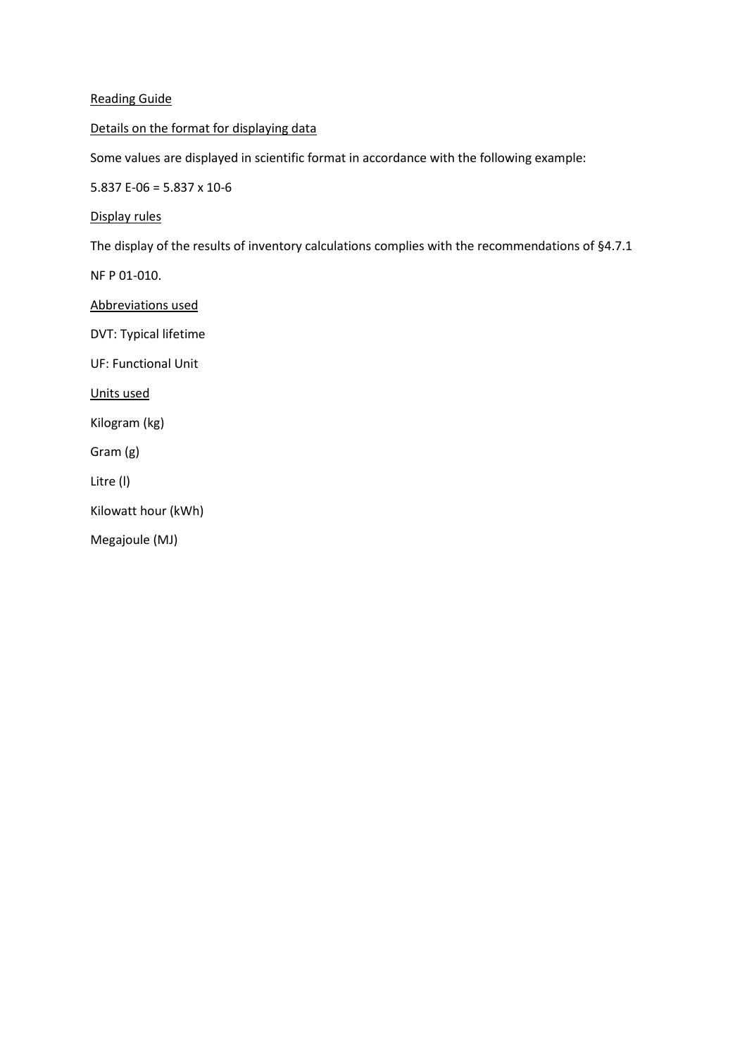### Reading Guide

Details on the format for displaying data

Some values are displayed in scientific format in accordance with the following example:

5.837 E-06 = 5.837 x 10-6

Display rules

The display of the results of inventory calculations complies with the recommendations of §4.7.1

NF P 01-010.

Abbreviations used

DVT: Typical lifetime

UF: Functional Unit

Units used

Kilogram (kg)

Gram (g)

Litre (l)

Kilowatt hour (kWh)

Megajoule (MJ)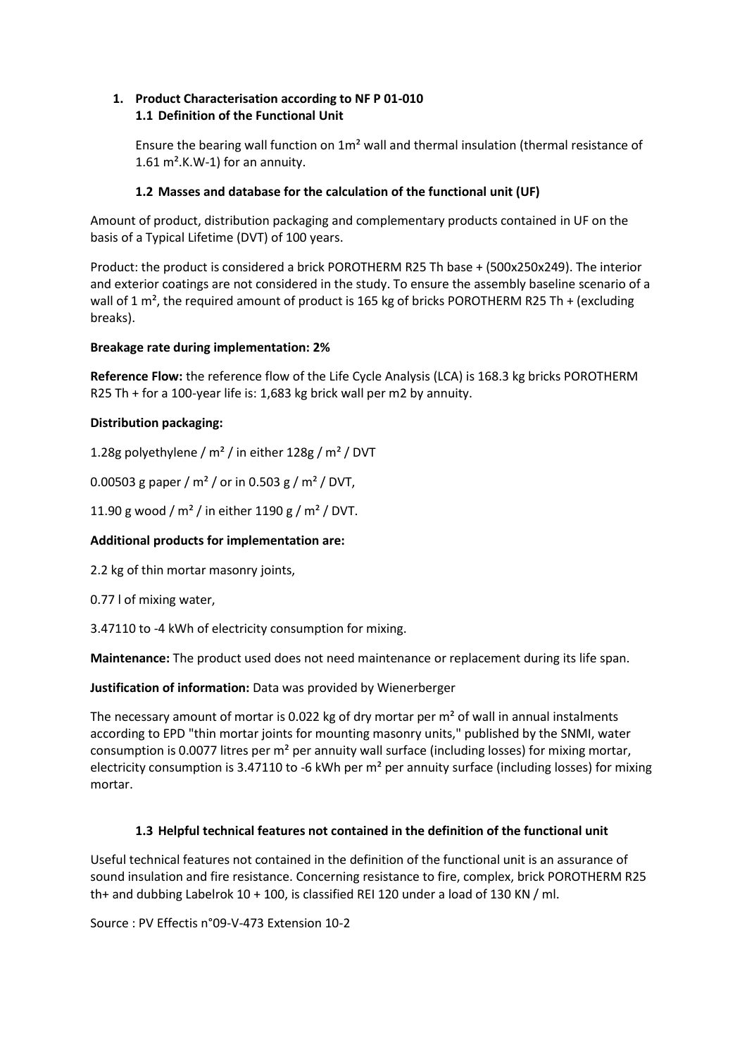# **1. Product Characterisation according to NF P 01-010 1.1 Definition of the Functional Unit**

Ensure the bearing wall function on 1m² wall and thermal insulation (thermal resistance of 1.61  $m^2$ .K.W-1) for an annuity.

# **1.2 Masses and database for the calculation of the functional unit (UF)**

Amount of product, distribution packaging and complementary products contained in UF on the basis of a Typical Lifetime (DVT) of 100 years.

Product: the product is considered a brick POROTHERM R25 Th base + (500x250x249). The interior and exterior coatings are not considered in the study. To ensure the assembly baseline scenario of a wall of 1  $m^2$ , the required amount of product is 165 kg of bricks POROTHERM R25 Th + (excluding breaks).

# **Breakage rate during implementation: 2%**

**Reference Flow:** the reference flow of the Life Cycle Analysis (LCA) is 168.3 kg bricks POROTHERM R25 Th + for a 100-year life is: 1,683 kg brick wall per m2 by annuity.

# **Distribution packaging:**

1.28g polyethylene / m² / in either 128g / m² / DVT

0.00503 g paper /  $m^2$  / or in 0.503 g /  $m^2$  / DVT,

11.90 g wood /  $m^2$  / in either 1190 g /  $m^2$  / DVT.

### **Additional products for implementation are:**

2.2 kg of thin mortar masonry joints,

0.77 l of mixing water,

3.47110 to -4 kWh of electricity consumption for mixing.

**Maintenance:** The product used does not need maintenance or replacement during its life span.

**Justification of information:** Data was provided by Wienerberger

The necessary amount of mortar is 0.022 kg of dry mortar per  $m<sup>2</sup>$  of wall in annual instalments according to EPD "thin mortar joints for mounting masonry units," published by the SNMI, water consumption is 0.0077 litres per m² per annuity wall surface (including losses) for mixing mortar, electricity consumption is 3.47110 to -6 kWh per m² per annuity surface (including losses) for mixing mortar.

### **1.3 Helpful technical features not contained in the definition of the functional unit**

Useful technical features not contained in the definition of the functional unit is an assurance of sound insulation and fire resistance. Concerning resistance to fire, complex, brick POROTHERM R25 th+ and dubbing Labelrok  $10 + 100$ , is classified REI 120 under a load of 130 KN / ml.

Source : PV Effectis n°09-V-473 Extension 10-2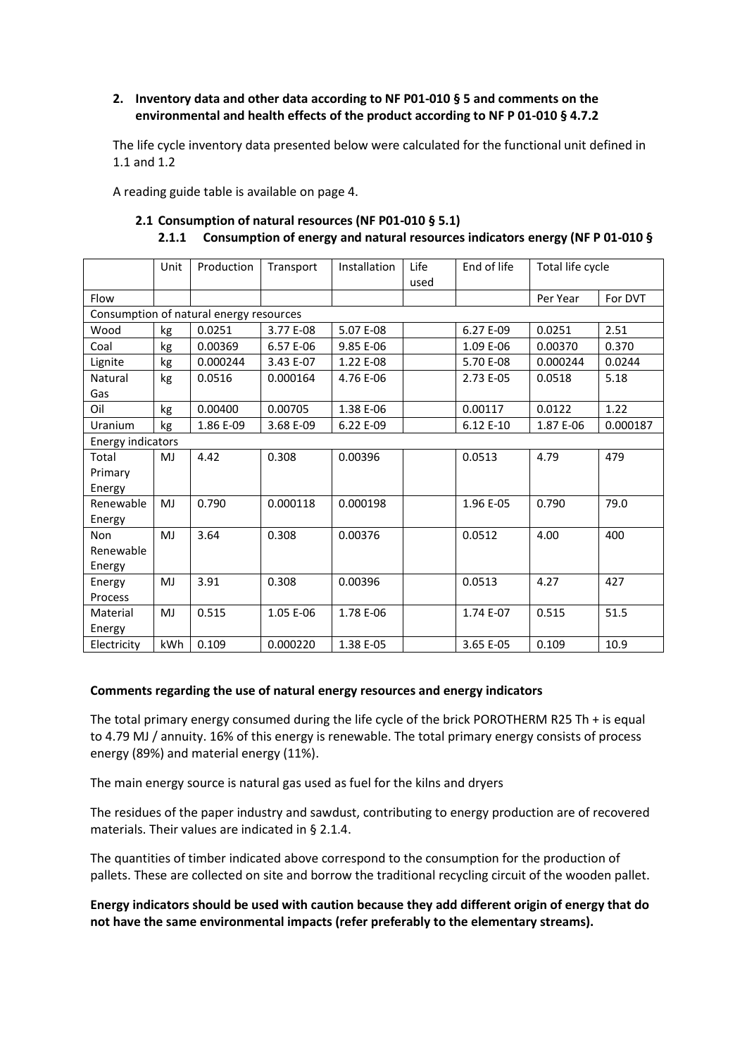### **2. Inventory data and other data according to NF P01-010 § 5 and comments on the environmental and health effects of the product according to NF P 01-010 § 4.7.2**

The life cycle inventory data presented below were calculated for the functional unit defined in 1.1 and 1.2

A reading guide table is available on page 4.

|                   | Unit | Production                              | Transport | Installation | Life | End of life | Total life cycle |          |
|-------------------|------|-----------------------------------------|-----------|--------------|------|-------------|------------------|----------|
|                   |      |                                         |           |              | used |             |                  |          |
| Flow              |      |                                         |           |              |      |             | Per Year         | For DVT  |
|                   |      | Consumption of natural energy resources |           |              |      |             |                  |          |
| Wood              | kg   | 0.0251                                  | 3.77 E-08 | 5.07 E-08    |      | 6.27 E-09   | 0.0251           | 2.51     |
| Coal              | kg   | 0.00369                                 | 6.57 E-06 | 9.85 E-06    |      | 1.09 E-06   | 0.00370          | 0.370    |
| Lignite           | kg   | 0.000244                                | 3.43 E-07 | 1.22 E-08    |      | 5.70 E-08   | 0.000244         | 0.0244   |
| Natural           | kg   | 0.0516                                  | 0.000164  | 4.76 E-06    |      | 2.73 E-05   | 0.0518           | 5.18     |
| Gas               |      |                                         |           |              |      |             |                  |          |
| Oil               | kg   | 0.00400                                 | 0.00705   | 1.38 E-06    |      | 0.00117     | 0.0122           | 1.22     |
| Uranium           | kg   | 1.86 E-09                               | 3.68 E-09 | 6.22 E-09    |      | 6.12 E-10   | 1.87 E-06        | 0.000187 |
| Energy indicators |      |                                         |           |              |      |             |                  |          |
| Total             | MJ   | 4.42                                    | 0.308     | 0.00396      |      | 0.0513      | 4.79             | 479      |
| Primary           |      |                                         |           |              |      |             |                  |          |
| Energy            |      |                                         |           |              |      |             |                  |          |
| Renewable         | MJ   | 0.790                                   | 0.000118  | 0.000198     |      | 1.96 E-05   | 0.790            | 79.0     |
| Energy            |      |                                         |           |              |      |             |                  |          |
| Non               | MJ   | 3.64                                    | 0.308     | 0.00376      |      | 0.0512      | 4.00             | 400      |
| Renewable         |      |                                         |           |              |      |             |                  |          |
| Energy            |      |                                         |           |              |      |             |                  |          |
| Energy            | MJ   | 3.91                                    | 0.308     | 0.00396      |      | 0.0513      | 4.27             | 427      |
| Process           |      |                                         |           |              |      |             |                  |          |
| Material          | MJ   | 0.515                                   | 1.05 E-06 | 1.78 E-06    |      | 1.74 E-07   | 0.515            | 51.5     |
| Energy            |      |                                         |           |              |      |             |                  |          |
| Electricity       | kWh  | 0.109                                   | 0.000220  | 1.38 E-05    |      | 3.65 E-05   | 0.109            | 10.9     |

### **2.1 Consumption of natural resources (NF P01-010 § 5.1) 2.1.1 Consumption of energy and natural resources indicators energy (NF P 01-010 §**

#### **Comments regarding the use of natural energy resources and energy indicators**

The total primary energy consumed during the life cycle of the brick POROTHERM R25 Th + is equal to 4.79 MJ / annuity. 16% of this energy is renewable. The total primary energy consists of process energy (89%) and material energy (11%).

The main energy source is natural gas used as fuel for the kilns and dryers

The residues of the paper industry and sawdust, contributing to energy production are of recovered materials. Their values are indicated in § 2.1.4.

The quantities of timber indicated above correspond to the consumption for the production of pallets. These are collected on site and borrow the traditional recycling circuit of the wooden pallet.

**Energy indicators should be used with caution because they add different origin of energy that do not have the same environmental impacts (refer preferably to the elementary streams).**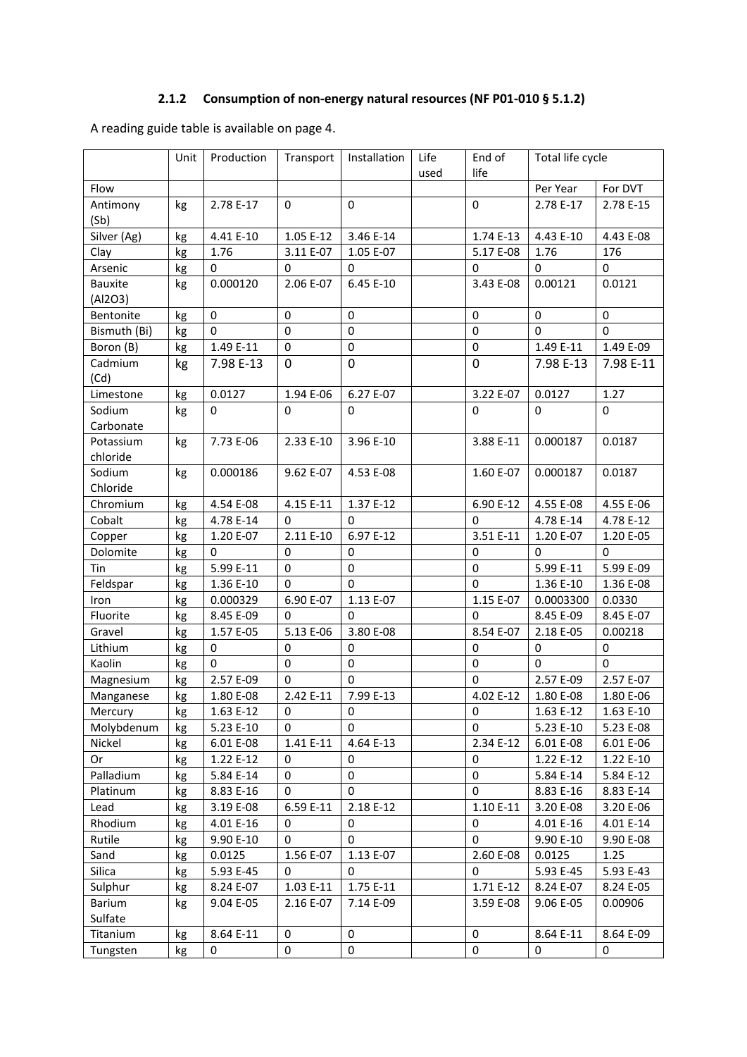# **2.1.2 Consumption of non-energy natural resources (NF P01-010 § 5.1.2)**

A reading guide table is available on page 4.

|                      | Unit     | Production  | Transport        | Installation | Life | End of                   | Total life cycle       |                        |
|----------------------|----------|-------------|------------------|--------------|------|--------------------------|------------------------|------------------------|
|                      |          |             |                  |              | used | life                     |                        |                        |
| Flow                 |          |             |                  |              |      |                          | Per Year               | For DVT                |
| Antimony             | kg       | 2.78 E-17   | $\bf{0}$         | 0            |      | $\mathbf 0$              | 2.78 E-17              | 2.78 E-15              |
| (Sb)                 |          |             |                  |              |      |                          |                        |                        |
| Silver (Ag)          | kg       | 4.41 E-10   | 1.05 E-12        | 3.46 E-14    |      | 1.74 E-13                | 4.43 E-10              | 4.43 E-08              |
| Clay                 | kg       | 1.76        | 3.11 E-07        | 1.05 E-07    |      | 5.17 E-08                | 1.76                   | 176                    |
| Arsenic              | kg       | 0           | 0                | 0            |      | $\bf{0}$                 | 0                      | $\pmb{0}$              |
| <b>Bauxite</b>       | kg       | 0.000120    | 2.06 E-07        | 6.45 E-10    |      | 3.43 E-08                | 0.00121                | 0.0121                 |
| (Al2O3)              |          |             |                  |              |      |                          |                        |                        |
| Bentonite            | kg       | $\mathbf 0$ | $\mathbf 0$      | 0            |      | $\pmb{0}$                | $\mathbf 0$            | $\mathbf 0$            |
| Bismuth (Bi)         | kg       | $\Omega$    | $\boldsymbol{0}$ | $\pmb{0}$    |      | $\mathbf 0$              | $\Omega$               | $\Omega$               |
| Boron (B)            | kg       | 1.49 E-11   | $\boldsymbol{0}$ | $\pmb{0}$    |      | $\mathbf 0$              | 1.49 E-11              | 1.49 E-09              |
| Cadmium              | kg       | 7.98 E-13   | $\mathbf 0$      | $\mathbf 0$  |      | $\mathbf 0$              | 7.98 E-13              | 7.98 E-11              |
| (Cd)                 |          |             |                  |              |      |                          |                        |                        |
| Limestone            | kg       | 0.0127      | 1.94 E-06        | 6.27 E-07    |      | 3.22 E-07                | 0.0127                 | 1.27                   |
| Sodium               | kg       | $\mathbf 0$ | 0                | 0            |      | $\mathbf 0$              | $\mathbf 0$            | 0                      |
| Carbonate            |          |             |                  |              |      |                          |                        |                        |
| Potassium            | kg       | 7.73 E-06   | 2.33 E-10        | 3.96 E-10    |      | 3.88 E-11                | 0.000187               | 0.0187                 |
| chloride             |          |             |                  |              |      |                          |                        |                        |
| Sodium               | kg       | 0.000186    | 9.62 E-07        | 4.53 E-08    |      | 1.60 E-07                | 0.000187               | 0.0187                 |
| Chloride<br>Chromium |          | 4.54 E-08   | 4.15 E-11        | 1.37 E-12    |      |                          |                        |                        |
|                      | kg       | 4.78 E-14   |                  | $\mathbf 0$  |      | 6.90 E-12<br>$\mathbf 0$ | 4.55 E-08<br>4.78 E-14 | 4.55 E-06<br>4.78 E-12 |
| Cobalt               | kg       | 1.20 E-07   | 0<br>2.11 E-10   | 6.97 E-12    |      | 3.51 E-11                | 1.20 E-07              | 1.20 E-05              |
| Copper<br>Dolomite   | kg       | 0           | 0                | 0            |      | $\bf{0}$                 | 0                      | $\mathbf 0$            |
| Tin                  | kg<br>kg | 5.99 E-11   | $\boldsymbol{0}$ | $\pmb{0}$    |      | $\pmb{0}$                | 5.99 E-11              | 5.99 E-09              |
| Feldspar             | kg       | 1.36 E-10   | $\mathbf 0$      | $\mathbf 0$  |      | $\mathbf 0$              | 1.36 E-10              | 1.36 E-08              |
| Iron                 | kg       | 0.000329    | 6.90 E-07        | 1.13 E-07    |      | 1.15 E-07                | 0.0003300              | 0.0330                 |
| Fluorite             | kg       | 8.45 E-09   | 0                | $\mathbf 0$  |      | $\mathbf 0$              | 8.45 E-09              | 8.45 E-07              |
| Gravel               | kg       | 1.57 E-05   | 5.13 E-06        | 3.80 E-08    |      | 8.54 E-07                | 2.18 E-05              | 0.00218                |
| Lithium              | kg       | $\pmb{0}$   | $\bf{0}$         | $\mathbf 0$  |      | $\mathbf 0$              | $\mathbf 0$            | $\mathbf 0$            |
| Kaolin               | kg       | $\mathbf 0$ | $\boldsymbol{0}$ | $\pmb{0}$    |      | $\mathbf 0$              | $\Omega$               | $\mathbf 0$            |
| Magnesium            | kg       | 2.57 E-09   | $\mathbf 0$      | 0            |      | $\mathbf 0$              | 2.57 E-09              | 2.57 E-07              |
| Manganese            | kg       | 1.80 E-08   | 2.42 E-11        | 7.99 E-13    |      | 4.02 E-12                | 1.80 E-08              | 1.80 E-06              |
| Mercury              | kg       | 1.63 E-12   | 0                | 0            |      | 0                        | 1.63 E-12              | 1.63 E-10              |
| Molybdenum           | kg       | 5.23 E-10   | 0                | $\mathbf 0$  |      | $\bf{0}$                 | 5.23 E-10              | 5.23 E-08              |
| Nickel               | kg       | 6.01 E-08   | 1.41 E-11        | 4.64 E-13    |      | 2.34 E-12                | 6.01 E-08              | 6.01 E-06              |
| Or                   | kg       | 1.22 E-12   | 0                | 0            |      | 0                        | 1.22 E-12              | 1.22 E-10              |
| Palladium            | kg       | 5.84 E-14   | 0                | $\mathbf 0$  |      | $\mathbf 0$              | 5.84 E-14              | 5.84 E-12              |
| Platinum             | kg       | 8.83 E-16   | $\mathbf 0$      | $\mathbf 0$  |      | $\mathbf 0$              | 8.83 E-16              | 8.83 E-14              |
| Lead                 | kg       | 3.19 E-08   | 6.59 E-11        | 2.18 E-12    |      | 1.10 E-11                | 3.20 E-08              | 3.20 E-06              |
| Rhodium              | kg       | 4.01 E-16   | 0                | 0            |      | 0                        | 4.01 E-16              | 4.01 E-14              |
| Rutile               | kg       | 9.90 E-10   | 0                | $\mathbf 0$  |      | $\mathbf 0$              | 9.90 E-10              | 9.90 E-08              |
| Sand                 | kg       | 0.0125      | 1.56 E-07        | 1.13 E-07    |      | 2.60 E-08                | 0.0125                 | 1.25                   |
| Silica               | kg       | 5.93 E-45   | 0                | $\mathbf 0$  |      | $\mathbf 0$              | 5.93 E-45              | 5.93 E-43              |
| Sulphur              | kg       | 8.24 E-07   | 1.03 E-11        | 1.75 E-11    |      | 1.71 E-12                | 8.24 E-07              | 8.24 E-05              |
| Barium               | kg       | 9.04 E-05   | 2.16 E-07        | 7.14 E-09    |      | 3.59 E-08                | 9.06 E-05              | 0.00906                |
| Sulfate              |          |             |                  |              |      |                          |                        |                        |
| Titanium             | kg       | 8.64 E-11   | 0                | 0            |      | 0                        | 8.64 E-11              | 8.64 E-09              |
| Tungsten             | kg       | $\pmb{0}$   | $\pmb{0}$        | $\pmb{0}$    |      | $\pmb{0}$                | $\pmb{0}$              | 0                      |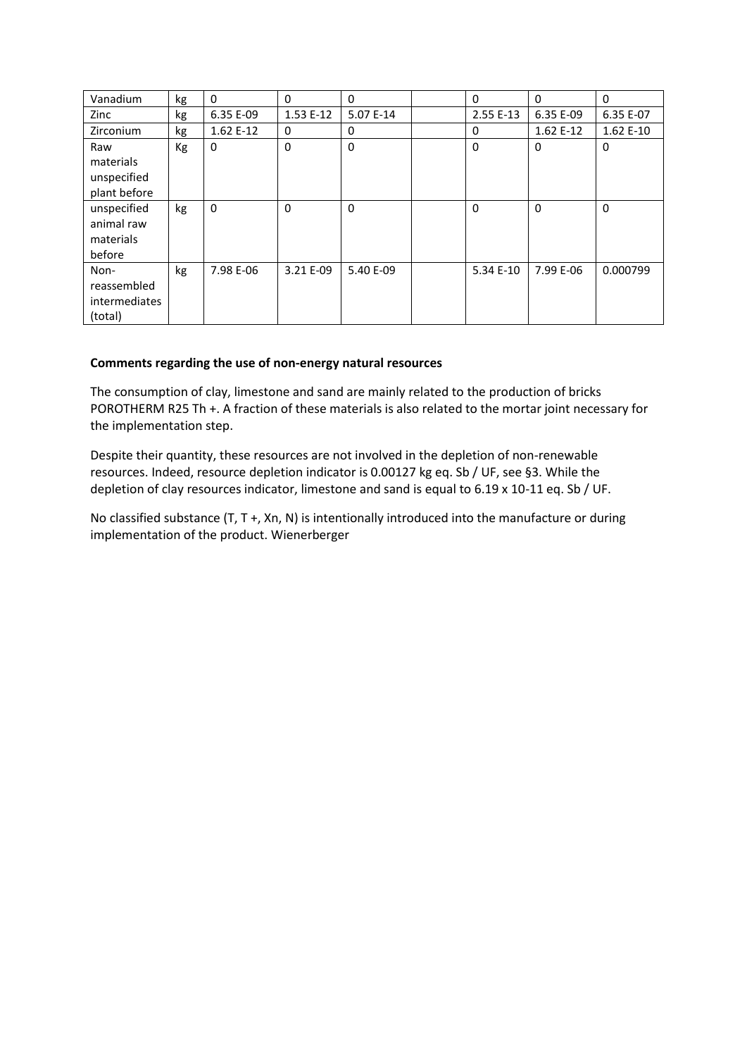| Vanadium                                               | kg | $\Omega$  | $\Omega$  | $\Omega$  | $\mathbf{0}$ | $\Omega$   | $\mathbf{0}$ |
|--------------------------------------------------------|----|-----------|-----------|-----------|--------------|------------|--------------|
| Zinc                                                   | kg | 6.35 E-09 | 1.53 E-12 | 5.07 E-14 | 2.55 E-13    | 6.35 E-09  | 6.35 E-07    |
| <b>Zirconium</b>                                       | kg | 1.62 E-12 | 0         | 0         | 0            | $1.62E-12$ | 1.62 E-10    |
| Raw<br>materials<br>unspecified<br>plant before        | Kg | $\Omega$  | $\Omega$  | $\Omega$  | $\Omega$     | $\Omega$   | $\mathbf{0}$ |
| unspecified<br>animal raw<br>materials<br>before       | kg | $\Omega$  | $\Omega$  | $\Omega$  | $\Omega$     | $\Omega$   | $\mathbf{0}$ |
| Non-<br>reassembled<br><i>intermediates</i><br>(total) | kg | 7.98 E-06 | 3.21 E-09 | 5.40 E-09 | 5.34 E-10    | 7.99 E-06  | 0.000799     |

### **Comments regarding the use of non-energy natural resources**

The consumption of clay, limestone and sand are mainly related to the production of bricks POROTHERM R25 Th +. A fraction of these materials is also related to the mortar joint necessary for the implementation step.

Despite their quantity, these resources are not involved in the depletion of non-renewable resources. Indeed, resource depletion indicator is 0.00127 kg eq. Sb / UF, see §3. While the depletion of clay resources indicator, limestone and sand is equal to 6.19 x 10-11 eq. Sb / UF.

No classified substance (T, T +, Xn, N) is intentionally introduced into the manufacture or during implementation of the product. Wienerberger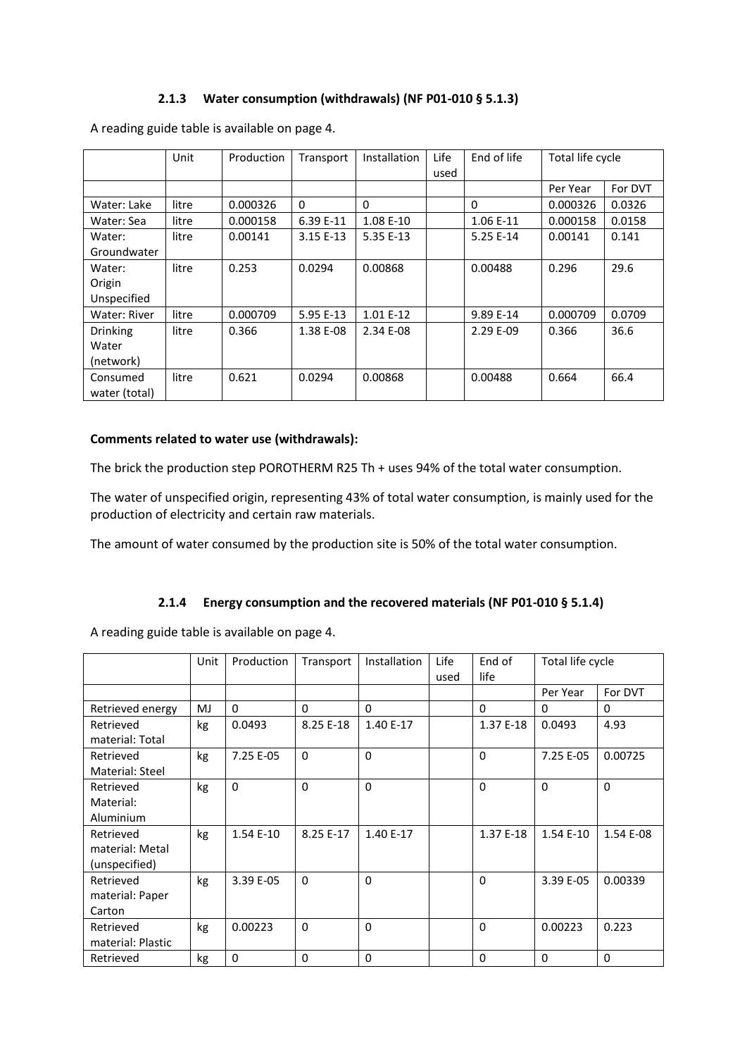### **2.1.3 Water consumption (withdrawals) (NF P01-010 § 5.1.3)**

|                 | Unit  | Production | Transport | <b>Installation</b> | Life | End of life | Total life cycle |         |
|-----------------|-------|------------|-----------|---------------------|------|-------------|------------------|---------|
|                 |       |            |           |                     | used |             |                  |         |
|                 |       |            |           |                     |      |             | Per Year         | For DVT |
| Water: Lake     | litre | 0.000326   | $\Omega$  | $\Omega$            |      | $\Omega$    | 0.000326         | 0.0326  |
| Water: Sea      | litre | 0.000158   | 6.39 E-11 | 1.08 E-10           |      | 1.06 E-11   | 0.000158         | 0.0158  |
| Water:          | litre | 0.00141    | 3.15 E-13 | 5.35 E-13           |      | 5.25 E-14   | 0.00141          | 0.141   |
| Groundwater     |       |            |           |                     |      |             |                  |         |
| Water:          | litre | 0.253      | 0.0294    | 0.00868             |      | 0.00488     | 0.296            | 29.6    |
| Origin          |       |            |           |                     |      |             |                  |         |
| Unspecified     |       |            |           |                     |      |             |                  |         |
| Water: River    | litre | 0.000709   | 5.95 E-13 | 1.01 E-12           |      | 9.89 E-14   | 0.000709         | 0.0709  |
| <b>Drinking</b> | litre | 0.366      | 1.38 E-08 | 2.34 E-08           |      | 2.29 E-09   | 0.366            | 36.6    |
| Water           |       |            |           |                     |      |             |                  |         |
| (network)       |       |            |           |                     |      |             |                  |         |
| Consumed        | litre | 0.621      | 0.0294    | 0.00868             |      | 0.00488     | 0.664            | 66.4    |
| water (total)   |       |            |           |                     |      |             |                  |         |

A reading guide table is available on page 4.

#### **Comments related to water use (withdrawals):**

The brick the production step POROTHERM R25 Th + uses 94% of the total water consumption.

The water of unspecified origin, representing 43% of total water consumption, is mainly used for the production of electricity and certain raw materials.

The amount of water consumed by the production site is 50% of the total water consumption.

### **2.1.4 Energy consumption and the recovered materials (NF P01-010 § 5.1.4)**

A reading guide table is available on page 4.

|                   | Unit | Production | Transport | Installation | Life<br>used | End of<br>life | Total life cycle |           |
|-------------------|------|------------|-----------|--------------|--------------|----------------|------------------|-----------|
|                   |      |            |           |              |              |                | Per Year         | For DVT   |
| Retrieved energy  | MJ   | $\Omega$   | $\Omega$  | $\Omega$     |              | $\Omega$       | 0                | $\Omega$  |
| Retrieved         | kg   | 0.0493     | 8.25 E-18 | 1.40 E-17    |              | 1.37 E-18      | 0.0493           | 4.93      |
| material: Total   |      |            |           |              |              |                |                  |           |
| Retrieved         | kg   | 7.25 E-05  | $\Omega$  | $\Omega$     |              | $\Omega$       | 7.25 E-05        | 0.00725   |
| Material: Steel   |      |            |           |              |              |                |                  |           |
| Retrieved         | kg   | $\Omega$   | $\Omega$  | $\Omega$     |              | $\Omega$       | $\Omega$         | $\Omega$  |
| Material:         |      |            |           |              |              |                |                  |           |
| Aluminium         |      |            |           |              |              |                |                  |           |
| Retrieved         | kg   | 1.54 E-10  | 8.25 E-17 | 1.40 E-17    |              | 1.37 E-18      | 1.54 E-10        | 1.54 E-08 |
| material: Metal   |      |            |           |              |              |                |                  |           |
| (unspecified)     |      |            |           |              |              |                |                  |           |
| Retrieved         | kg   | 3.39 E-05  | $\Omega$  | $\Omega$     |              | $\Omega$       | 3.39 E-05        | 0.00339   |
| material: Paper   |      |            |           |              |              |                |                  |           |
| Carton            |      |            |           |              |              |                |                  |           |
| Retrieved         | kg   | 0.00223    | $\Omega$  | $\Omega$     |              | $\Omega$       | 0.00223          | 0.223     |
| material: Plastic |      |            |           |              |              |                |                  |           |
| Retrieved         | kg   | $\Omega$   | $\Omega$  | $\Omega$     |              | $\Omega$       | $\Omega$         | $\Omega$  |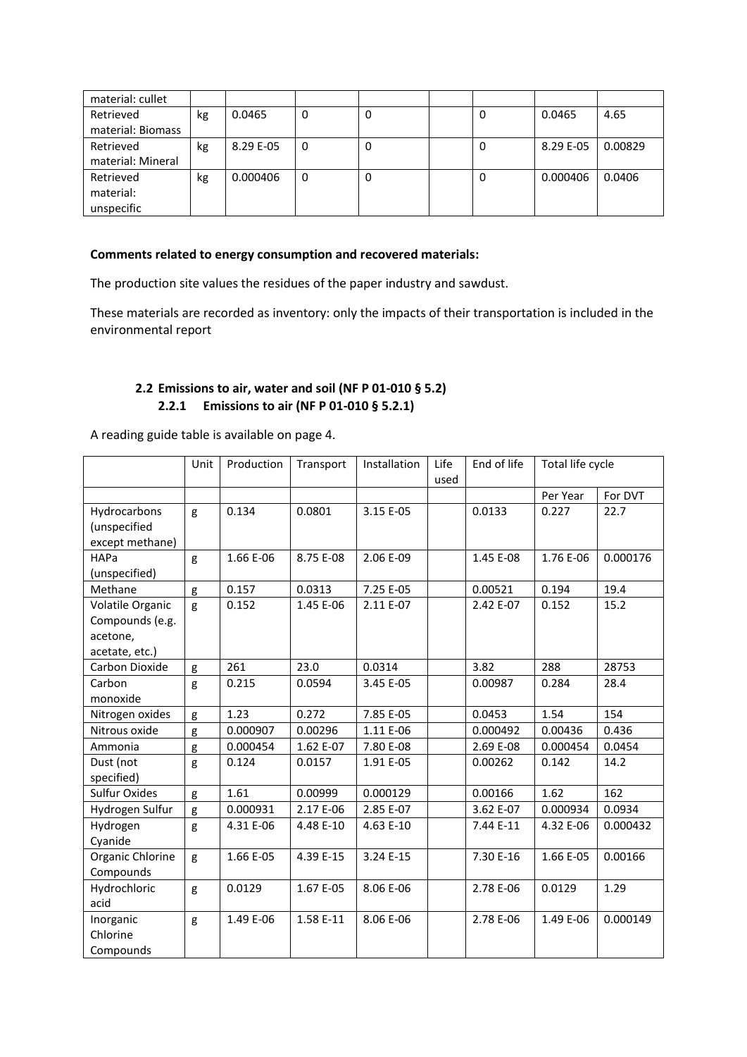| material: cullet  |    |           |   |   |   |           |         |
|-------------------|----|-----------|---|---|---|-----------|---------|
| Retrieved         | kg | 0.0465    | 0 | 0 | 0 | 0.0465    | 4.65    |
| material: Biomass |    |           |   |   |   |           |         |
| Retrieved         | kg | 8.29 E-05 | 0 | 0 | 0 | 8.29 E-05 | 0.00829 |
| material: Mineral |    |           |   |   |   |           |         |
| Retrieved         | kg | 0.000406  | 0 | 0 | 0 | 0.000406  | 0.0406  |
| material:         |    |           |   |   |   |           |         |
| unspecific        |    |           |   |   |   |           |         |

### **Comments related to energy consumption and recovered materials:**

The production site values the residues of the paper industry and sawdust.

These materials are recorded as inventory: only the impacts of their transportation is included in the environmental report

### **2.2 Emissions to air, water and soil (NF P 01-010 § 5.2) 2.2.1 Emissions to air (NF P 01-010 § 5.2.1)**

A reading guide table is available on page 4.

|                                                                   | Unit | Production | Transport | Installation | Life<br>used | End of life | Total life cycle |          |
|-------------------------------------------------------------------|------|------------|-----------|--------------|--------------|-------------|------------------|----------|
|                                                                   |      |            |           |              |              |             | Per Year         | For DVT  |
| Hydrocarbons<br>(unspecified<br>except methane)                   | g    | 0.134      | 0.0801    | 3.15 E-05    |              | 0.0133      | 0.227            | 22.7     |
| HAPa<br>(unspecified)                                             | g    | 1.66 E-06  | 8.75 E-08 | 2.06 E-09    |              | 1.45 E-08   | 1.76 E-06        | 0.000176 |
| Methane                                                           | g    | 0.157      | 0.0313    | 7.25 E-05    |              | 0.00521     | 0.194            | 19.4     |
| Volatile Organic<br>Compounds (e.g.<br>acetone,<br>acetate, etc.) | g    | 0.152      | 1.45 E-06 | 2.11 E-07    |              | 2.42 E-07   | 0.152            | 15.2     |
| Carbon Dioxide                                                    | g    | 261        | 23.0      | 0.0314       |              | 3.82        | 288              | 28753    |
| Carbon<br>monoxide                                                | g    | 0.215      | 0.0594    | 3.45 E-05    |              | 0.00987     | 0.284            | 28.4     |
| Nitrogen oxides                                                   | g    | 1.23       | 0.272     | 7.85 E-05    |              | 0.0453      | 1.54             | 154      |
| Nitrous oxide                                                     | g    | 0.000907   | 0.00296   | 1.11 E-06    |              | 0.000492    | 0.00436          | 0.436    |
| Ammonia                                                           | g    | 0.000454   | 1.62 E-07 | 7.80 E-08    |              | 2.69 E-08   | 0.000454         | 0.0454   |
| Dust (not<br>specified)                                           | g    | 0.124      | 0.0157    | 1.91 E-05    |              | 0.00262     | 0.142            | 14.2     |
| <b>Sulfur Oxides</b>                                              | g    | 1.61       | 0.00999   | 0.000129     |              | 0.00166     | 1.62             | 162      |
| Hydrogen Sulfur                                                   | g    | 0.000931   | 2.17 E-06 | 2.85 E-07    |              | 3.62 E-07   | 0.000934         | 0.0934   |
| Hydrogen<br>Cyanide                                               | g    | 4.31 E-06  | 4.48 E-10 | 4.63 E-10    |              | 7.44 E-11   | 4.32 E-06        | 0.000432 |
| Organic Chlorine<br>Compounds                                     | g    | 1.66 E-05  | 4.39 E-15 | 3.24 E-15    |              | 7.30 E-16   | 1.66 E-05        | 0.00166  |
| Hydrochloric<br>acid                                              | g    | 0.0129     | 1.67 E-05 | 8.06 E-06    |              | 2.78 E-06   | 0.0129           | 1.29     |
| Inorganic<br>Chlorine<br>Compounds                                | g    | 1.49 E-06  | 1.58 E-11 | 8.06 E-06    |              | 2.78 E-06   | 1.49 E-06        | 0.000149 |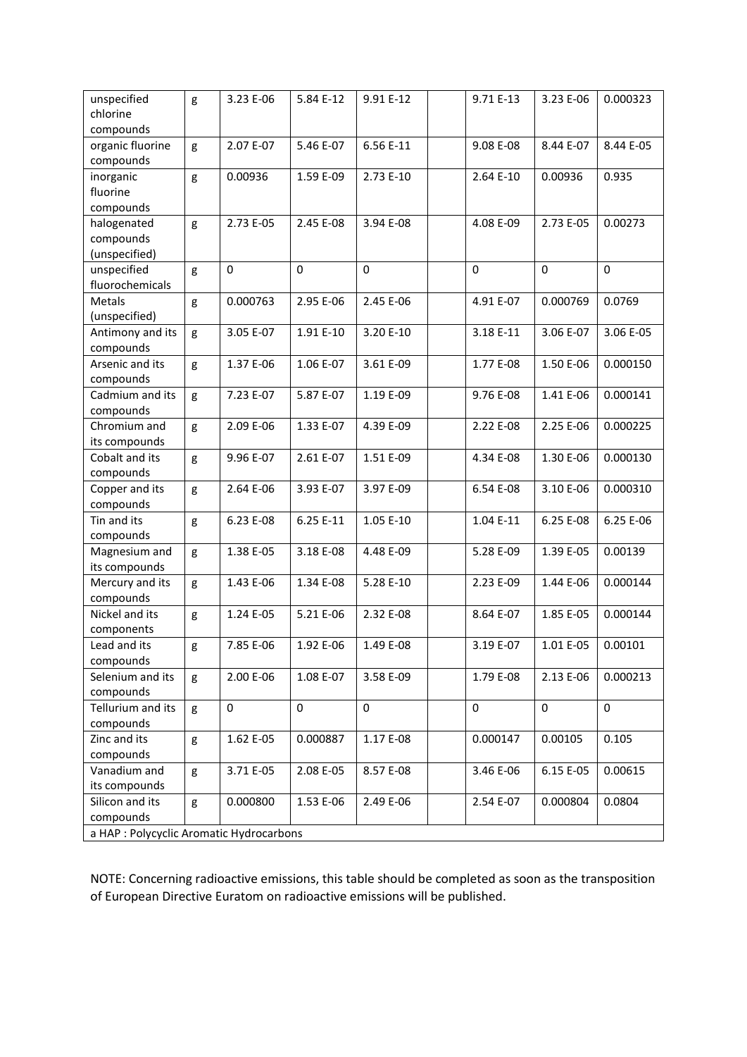| unspecified                              | g | 3.23 E-06 | 5.84 E-12   | 9.91 E-12   | 9.71 E-13   | 3.23 E-06   | 0.000323    |
|------------------------------------------|---|-----------|-------------|-------------|-------------|-------------|-------------|
| chlorine                                 |   |           |             |             |             |             |             |
| compounds                                |   |           |             |             |             |             |             |
| organic fluorine                         | g | 2.07 E-07 | 5.46 E-07   | 6.56 E-11   | 9.08 E-08   | 8.44 E-07   | 8.44 E-05   |
| compounds                                |   |           |             |             |             |             |             |
| inorganic                                | g | 0.00936   | 1.59 E-09   | 2.73 E-10   | 2.64 E-10   | 0.00936     | 0.935       |
| fluorine                                 |   |           |             |             |             |             |             |
| compounds                                |   |           |             |             |             |             |             |
| halogenated                              | g | 2.73 E-05 | 2.45 E-08   | 3.94 E-08   | 4.08 E-09   | 2.73 E-05   | 0.00273     |
| compounds                                |   |           |             |             |             |             |             |
| (unspecified)                            |   |           |             |             |             |             |             |
| unspecified                              | g | 0         | $\mathbf 0$ | $\mathbf 0$ | $\mathbf 0$ | $\mathbf 0$ | $\mathbf 0$ |
| fluorochemicals                          |   |           |             |             |             |             |             |
| Metals                                   | g | 0.000763  | 2.95 E-06   | 2.45 E-06   | 4.91 E-07   | 0.000769    | 0.0769      |
| (unspecified)                            |   |           |             |             |             |             |             |
| Antimony and its                         | g | 3.05 E-07 | 1.91 E-10   | 3.20 E-10   | 3.18 E-11   | 3.06 E-07   | 3.06 E-05   |
| compounds                                |   |           |             |             |             |             |             |
| Arsenic and its                          | g | 1.37 E-06 | 1.06 E-07   | 3.61 E-09   | 1.77 E-08   | 1.50 E-06   | 0.000150    |
| compounds                                |   |           |             |             |             |             |             |
| Cadmium and its                          | g | 7.23 E-07 | 5.87 E-07   | 1.19 E-09   | 9.76 E-08   | 1.41 E-06   | 0.000141    |
| compounds                                |   |           |             |             |             |             |             |
| Chromium and                             | g | 2.09 E-06 | 1.33 E-07   | 4.39 E-09   | 2.22 E-08   | 2.25 E-06   | 0.000225    |
| its compounds                            |   |           |             |             |             |             |             |
| Cobalt and its                           | g | 9.96 E-07 | 2.61 E-07   | 1.51 E-09   | 4.34 E-08   | 1.30 E-06   | 0.000130    |
| compounds                                |   |           |             |             |             |             |             |
| Copper and its                           | g | 2.64 E-06 | 3.93 E-07   | 3.97 E-09   | 6.54 E-08   | 3.10 E-06   | 0.000310    |
| compounds                                |   |           |             |             |             |             |             |
| Tin and its                              | g | 6.23 E-08 | 6.25 E-11   | 1.05 E-10   | 1.04 E-11   | 6.25 E-08   | 6.25 E-06   |
| compounds                                |   |           |             |             |             |             |             |
| Magnesium and                            | g | 1.38 E-05 | 3.18 E-08   | 4.48 E-09   | 5.28 E-09   | 1.39 E-05   | 0.00139     |
| its compounds                            |   |           |             |             |             |             |             |
| Mercury and its                          | g | 1.43 E-06 | 1.34 E-08   | 5.28 E-10   | 2.23 E-09   | 1.44 E-06   | 0.000144    |
| compounds                                |   |           |             |             |             |             |             |
| Nickel and its                           | g | 1.24 E-05 | 5.21 E-06   | 2.32 E-08   | 8.64 E-07   | 1.85 E-05   | 0.000144    |
| components                               |   |           |             |             |             |             |             |
| Lead and its                             | g | 7.85 E-06 | 1.92 E-06   | 1.49 E-08   | 3.19 E-07   | 1.01 E-05   | 0.00101     |
| compounds                                |   |           |             |             |             |             |             |
| Selenium and its                         | g | 2.00 E-06 | 1.08 E-07   | 3.58 E-09   | 1.79 E-08   | 2.13 E-06   | 0.000213    |
| compounds                                |   |           |             |             |             |             |             |
| Tellurium and its                        | g | 0         | 0           | $\mathbf 0$ | $\mathbf 0$ | 0           | 0           |
| compounds                                |   |           |             |             |             |             |             |
| Zinc and its                             | g | 1.62 E-05 | 0.000887    | 1.17 E-08   | 0.000147    | 0.00105     | 0.105       |
| compounds                                |   |           |             |             |             |             |             |
| Vanadium and                             | g | 3.71 E-05 | 2.08 E-05   | 8.57 E-08   | 3.46 E-06   | 6.15 E-05   | 0.00615     |
| its compounds                            |   |           |             |             |             |             |             |
| Silicon and its                          | g | 0.000800  | 1.53 E-06   | 2.49 E-06   | 2.54 E-07   | 0.000804    | 0.0804      |
| compounds                                |   |           |             |             |             |             |             |
| a HAP : Polycyclic Aromatic Hydrocarbons |   |           |             |             |             |             |             |

NOTE: Concerning radioactive emissions, this table should be completed as soon as the transposition of European Directive Euratom on radioactive emissions will be published.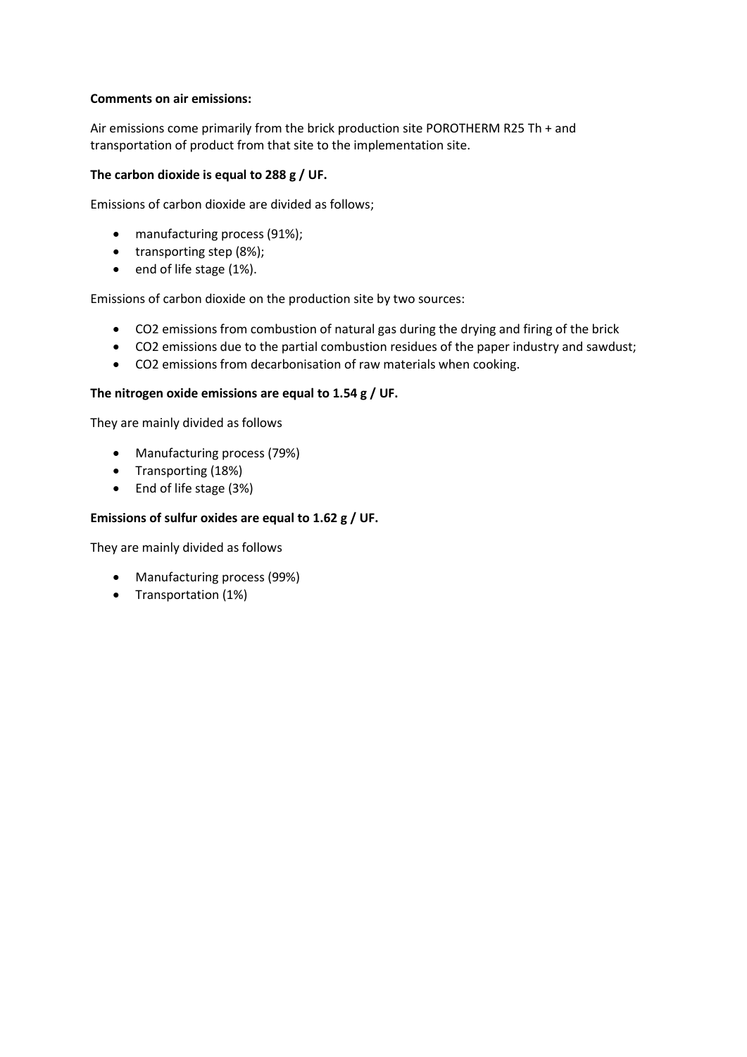### **Comments on air emissions:**

Air emissions come primarily from the brick production site POROTHERM R25 Th + and transportation of product from that site to the implementation site.

### **The carbon dioxide is equal to 288 g / UF.**

Emissions of carbon dioxide are divided as follows;

- manufacturing process (91%);
- transporting step (8%);
- end of life stage (1%).

Emissions of carbon dioxide on the production site by two sources:

- CO2 emissions from combustion of natural gas during the drying and firing of the brick
- CO2 emissions due to the partial combustion residues of the paper industry and sawdust;
- CO2 emissions from decarbonisation of raw materials when cooking.

### **The nitrogen oxide emissions are equal to 1.54 g / UF.**

They are mainly divided as follows

- Manufacturing process (79%)
- Transporting (18%)
- End of life stage (3%)

### **Emissions of sulfur oxides are equal to 1.62 g / UF.**

They are mainly divided as follows

- Manufacturing process (99%)
- Transportation (1%)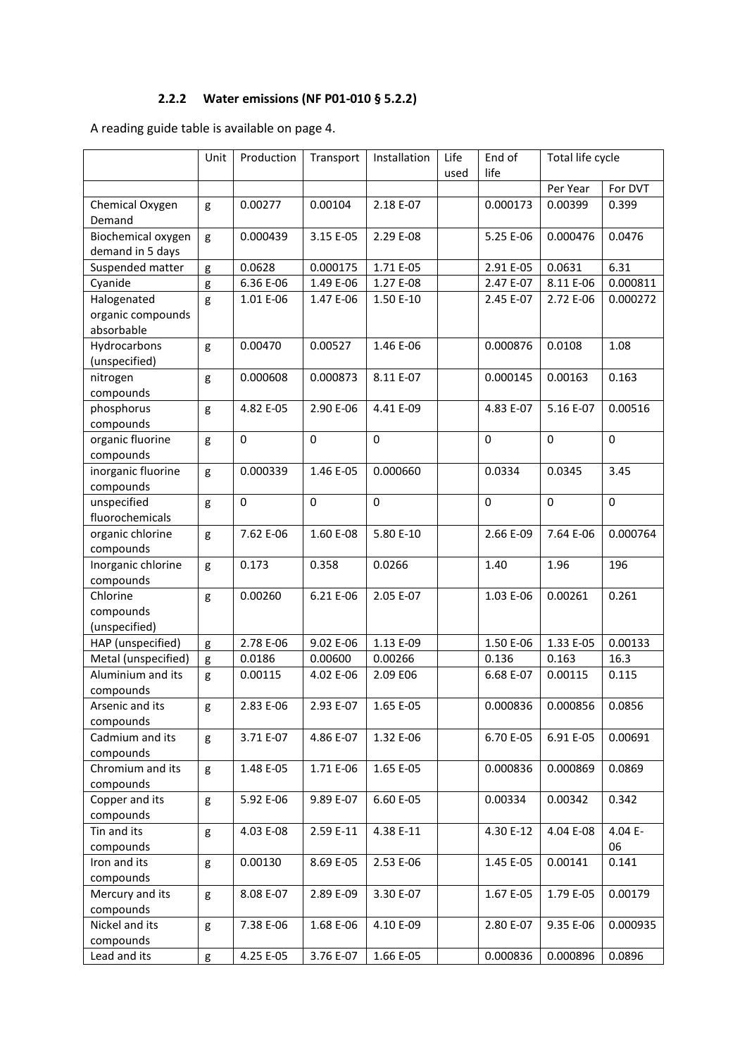# **2.2.2 Water emissions (NF P01-010 § 5.2.2)**

A reading guide table is available on page 4.

|                     | Unit | Production  | Transport   | Installation | Life | End of      | Total life cycle |             |
|---------------------|------|-------------|-------------|--------------|------|-------------|------------------|-------------|
|                     |      |             |             |              | used | life        |                  |             |
|                     |      |             |             |              |      |             | Per Year         | For DVT     |
| Chemical Oxygen     | g    | 0.00277     | 0.00104     | 2.18 E-07    |      | 0.000173    | 0.00399          | 0.399       |
| Demand              |      |             |             |              |      |             |                  |             |
| Biochemical oxygen  | g    | 0.000439    | 3.15 E-05   | 2.29 E-08    |      | 5.25 E-06   | 0.000476         | 0.0476      |
| demand in 5 days    |      |             |             |              |      |             |                  |             |
| Suspended matter    | g    | 0.0628      | 0.000175    | 1.71 E-05    |      | 2.91 E-05   | 0.0631           | 6.31        |
| Cyanide             | g    | 6.36 E-06   | 1.49 E-06   | 1.27 E-08    |      | 2.47 E-07   | 8.11 E-06        | 0.000811    |
| Halogenated         | g    | 1.01 E-06   | 1.47 E-06   | 1.50 E-10    |      | 2.45 E-07   | 2.72 E-06        | 0.000272    |
| organic compounds   |      |             |             |              |      |             |                  |             |
| absorbable          |      |             |             |              |      |             |                  |             |
| Hydrocarbons        | g    | 0.00470     | 0.00527     | 1.46 E-06    |      | 0.000876    | 0.0108           | 1.08        |
| (unspecified)       |      |             |             |              |      |             |                  |             |
| nitrogen            | g    | 0.000608    | 0.000873    | 8.11 E-07    |      | 0.000145    | 0.00163          | 0.163       |
| compounds           |      |             |             |              |      |             |                  |             |
| phosphorus          | g    | 4.82 E-05   | 2.90 E-06   | 4.41 E-09    |      | 4.83 E-07   | 5.16 E-07        | 0.00516     |
| compounds           |      |             |             |              |      |             |                  |             |
| organic fluorine    | g    | $\mathbf 0$ | $\mathbf 0$ | $\mathbf 0$  |      | $\mathbf 0$ | $\mathbf 0$      | $\mathbf 0$ |
| compounds           |      |             |             |              |      |             |                  |             |
| inorganic fluorine  | g    | 0.000339    | 1.46 E-05   | 0.000660     |      | 0.0334      | 0.0345           | 3.45        |
| compounds           |      |             |             |              |      |             |                  |             |
| unspecified         | g    | $\mathbf 0$ | $\Omega$    | $\mathbf 0$  |      | $\mathbf 0$ | $\mathbf 0$      | $\pmb{0}$   |
| fluorochemicals     |      |             |             |              |      |             |                  |             |
| organic chlorine    | g    | 7.62 E-06   | 1.60 E-08   | 5.80 E-10    |      | 2.66 E-09   | 7.64 E-06        | 0.000764    |
| compounds           |      |             |             |              |      |             |                  |             |
| Inorganic chlorine  | g    | 0.173       | 0.358       | 0.0266       |      | 1.40        | 1.96             | 196         |
| compounds           |      |             |             |              |      |             |                  |             |
| Chlorine            | g    | 0.00260     | 6.21 E-06   | 2.05 E-07    |      | 1.03 E-06   | 0.00261          | 0.261       |
| compounds           |      |             |             |              |      |             |                  |             |
| (unspecified)       |      |             |             |              |      |             |                  |             |
| HAP (unspecified)   | g    | 2.78 E-06   | 9.02 E-06   | 1.13 E-09    |      | 1.50 E-06   | 1.33 E-05        | 0.00133     |
| Metal (unspecified) | g    | 0.0186      | 0.00600     | 0.00266      |      | 0.136       | 0.163            | 16.3        |
| Aluminium and its   | g    | 0.00115     | 4.02 E-06   | 2.09 E06     |      | 6.68 E-07   | 0.00115          | 0.115       |
| compounds           |      |             |             |              |      |             |                  |             |
| Arsenic and its     | g    | 2.83 E-06   | 2.93 E-07   | 1.65 E-05    |      | 0.000836    | 0.000856         | 0.0856      |
| compounds           |      |             |             |              |      |             |                  |             |
| Cadmium and its     | g    | 3.71 E-07   | 4.86 E-07   | 1.32 E-06    |      | 6.70 E-05   | 6.91 E-05        | 0.00691     |
| compounds           |      |             |             |              |      |             |                  |             |
| Chromium and its    | g    | 1.48 E-05   | 1.71 E-06   | 1.65 E-05    |      | 0.000836    | 0.000869         | 0.0869      |
| compounds           |      |             |             |              |      |             |                  |             |
| Copper and its      | g    | 5.92 E-06   | 9.89 E-07   | 6.60 E-05    |      | 0.00334     | 0.00342          | 0.342       |
| compounds           |      |             |             |              |      |             |                  |             |
| Tin and its         | g    | 4.03 E-08   | 2.59 E-11   | 4.38 E-11    |      | 4.30 E-12   | 4.04 E-08        | 4.04 E-     |
| compounds           |      |             |             |              |      |             |                  | 06          |
| Iron and its        | g    | 0.00130     | 8.69 E-05   | 2.53 E-06    |      | 1.45 E-05   | 0.00141          | 0.141       |
| compounds           |      |             |             |              |      |             |                  |             |
| Mercury and its     | g    | 8.08 E-07   | 2.89 E-09   | 3.30 E-07    |      | 1.67 E-05   | 1.79 E-05        | 0.00179     |
| compounds           |      |             |             |              |      |             |                  |             |
| Nickel and its      | g    | 7.38 E-06   | 1.68 E-06   | 4.10 E-09    |      | 2.80 E-07   | 9.35 E-06        | 0.000935    |
| compounds           |      |             |             |              |      |             |                  |             |
| Lead and its        | g    | 4.25 E-05   | 3.76 E-07   | 1.66 E-05    |      | 0.000836    | 0.000896         | 0.0896      |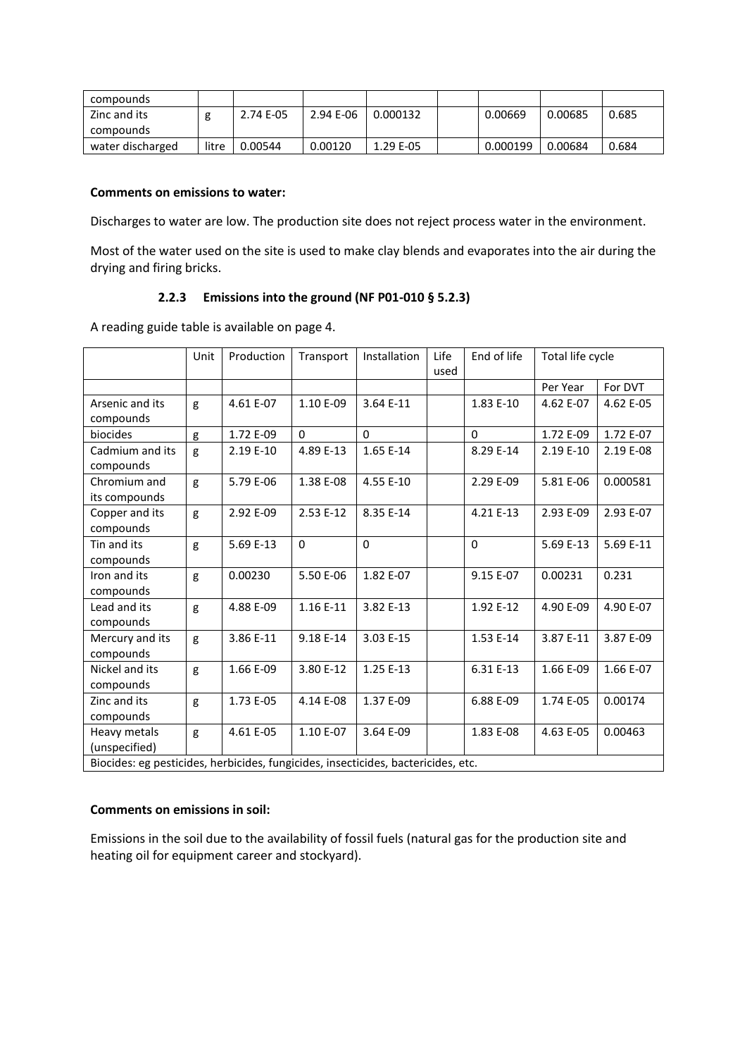| compounds        |       |           |           |           |          |         |       |
|------------------|-------|-----------|-----------|-----------|----------|---------|-------|
| Zinc and its     |       | 2.74 E-05 | 2.94 E-06 | 0.000132  | 0.00669  | 0.00685 | 0.685 |
| compounds        |       |           |           |           |          |         |       |
| water discharged | litre | 0.00544   | 0.00120   | 1.29 E-05 | 0.000199 | 0.00684 | 0.684 |

#### **Comments on emissions to water:**

Discharges to water are low. The production site does not reject process water in the environment.

Most of the water used on the site is used to make clay blends and evaporates into the air during the drying and firing bricks.

### **2.2.3 Emissions into the ground (NF P01-010 § 5.2.3)**

A reading guide table is available on page 4.

|                                                                                   | Unit | Production | Transport   | Installation | Life | End of life | Total life cycle |           |
|-----------------------------------------------------------------------------------|------|------------|-------------|--------------|------|-------------|------------------|-----------|
|                                                                                   |      |            |             |              | used |             |                  |           |
|                                                                                   |      |            |             |              |      |             | Per Year         | For DVT   |
| Arsenic and its                                                                   | g    | 4.61 E-07  | 1.10 E-09   | 3.64 E-11    |      | 1.83 E-10   | 4.62 E-07        | 4.62 E-05 |
| compounds                                                                         |      |            |             |              |      |             |                  |           |
| biocides                                                                          | g    | 1.72 E-09  | $\Omega$    | $\Omega$     |      | $\Omega$    | 1.72 E-09        | 1.72 E-07 |
| Cadmium and its<br>compounds                                                      | g    | 2.19 E-10  | 4.89 E-13   | 1.65 E-14    |      | 8.29 E-14   | 2.19 E-10        | 2.19 E-08 |
| Chromium and                                                                      | g    | 5.79 E-06  | 1.38 E-08   | 4.55 E-10    |      | 2.29 E-09   | 5.81 E-06        | 0.000581  |
| its compounds                                                                     |      |            |             |              |      |             |                  |           |
| Copper and its                                                                    | g    | 2.92 E-09  | 2.53 E-12   | 8.35 E-14    |      | 4.21 E-13   | 2.93 E-09        | 2.93 E-07 |
| compounds                                                                         |      |            |             |              |      |             |                  |           |
| Tin and its                                                                       | g    | 5.69 E-13  | $\mathbf 0$ | $\mathbf 0$  |      | $\Omega$    | 5.69 E-13        | 5.69 E-11 |
| compounds                                                                         |      |            |             |              |      |             |                  |           |
| Iron and its                                                                      | g    | 0.00230    | 5.50 E-06   | 1.82 E-07    |      | 9.15 E-07   | 0.00231          | 0.231     |
| compounds                                                                         |      |            |             |              |      |             |                  |           |
| Lead and its                                                                      | g    | 4.88 E-09  | 1.16 E-11   | 3.82 E-13    |      | 1.92 E-12   | 4.90 E-09        | 4.90 E-07 |
| compounds                                                                         |      |            |             |              |      |             |                  |           |
| Mercury and its                                                                   | g    | 3.86 E-11  | 9.18 E-14   | 3.03 E-15    |      | 1.53 E-14   | 3.87 E-11        | 3.87 E-09 |
| compounds                                                                         |      |            |             |              |      |             |                  |           |
| Nickel and its                                                                    | g    | 1.66 E-09  | 3.80 E-12   | 1.25 E-13    |      | 6.31 E-13   | 1.66 E-09        | 1.66 E-07 |
| compounds                                                                         |      |            |             |              |      |             |                  |           |
| Zinc and its                                                                      | g    | 1.73 E-05  | 4.14 E-08   | 1.37 E-09    |      | 6.88 E-09   | 1.74 E-05        | 0.00174   |
| compounds                                                                         |      |            |             |              |      |             |                  |           |
| Heavy metals                                                                      | g    | 4.61 E-05  | 1.10 E-07   | 3.64 E-09    |      | 1.83 E-08   | 4.63 E-05        | 0.00463   |
| (unspecified)                                                                     |      |            |             |              |      |             |                  |           |
| Biocides: eg pesticides, herbicides, fungicides, insecticides, bactericides, etc. |      |            |             |              |      |             |                  |           |

#### **Comments on emissions in soil:**

Emissions in the soil due to the availability of fossil fuels (natural gas for the production site and heating oil for equipment career and stockyard).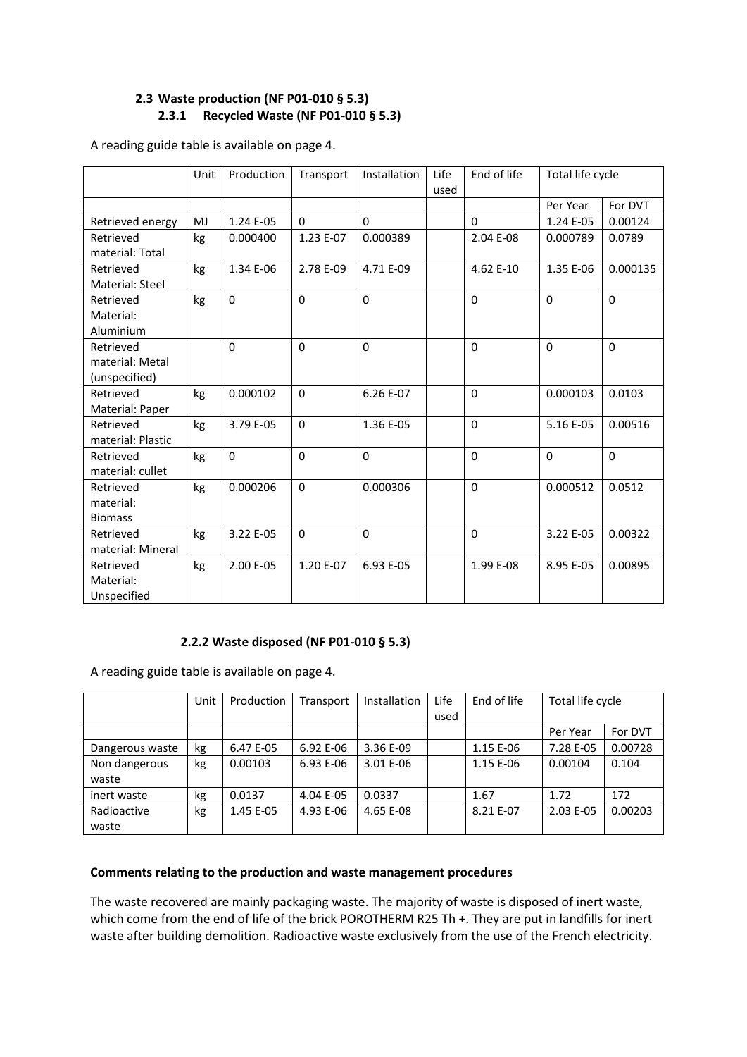## **2.3 Waste production (NF P01-010 § 5.3) 2.3.1 Recycled Waste (NF P01-010 § 5.3)**

A reading guide table is available on page 4.

|                   | Unit | Production   | Transport   | Installation | Life<br>used | End of life | Total life cycle |             |
|-------------------|------|--------------|-------------|--------------|--------------|-------------|------------------|-------------|
|                   |      |              |             |              |              |             | Per Year         | For DVT     |
| Retrieved energy  | MJ   | 1.24 E-05    | $\Omega$    | $\Omega$     |              | $\Omega$    | 1.24 E-05        | 0.00124     |
| Retrieved         | kg   | 0.000400     | 1.23 E-07   | 0.000389     |              | 2.04 E-08   | 0.000789         | 0.0789      |
| material: Total   |      |              |             |              |              |             |                  |             |
| Retrieved         | kg   | 1.34 E-06    | 2.78 E-09   | 4.71 E-09    |              | 4.62 E-10   | 1.35 E-06        | 0.000135    |
| Material: Steel   |      |              |             |              |              |             |                  |             |
| Retrieved         | kg   | $\Omega$     | $\Omega$    | $\mathbf{0}$ |              | $\Omega$    | $\mathbf 0$      | $\mathbf 0$ |
| Material:         |      |              |             |              |              |             |                  |             |
| Aluminium         |      |              |             |              |              |             |                  |             |
| Retrieved         |      | $\mathbf{0}$ | $\Omega$    | $\mathbf{0}$ |              | $\Omega$    | $\Omega$         | $\Omega$    |
| material: Metal   |      |              |             |              |              |             |                  |             |
| (unspecified)     |      |              |             |              |              |             |                  |             |
| Retrieved         | kg   | 0.000102     | $\Omega$    | 6.26 E-07    |              | $\Omega$    | 0.000103         | 0.0103      |
| Material: Paper   |      |              |             |              |              |             |                  |             |
| Retrieved         | kg   | 3.79 E-05    | $\Omega$    | 1.36 E-05    |              | $\Omega$    | 5.16 E-05        | 0.00516     |
| material: Plastic |      |              |             |              |              |             |                  |             |
| Retrieved         | kg   | $\Omega$     | $\mathbf 0$ | $\Omega$     |              | $\Omega$    | $\Omega$         | $\mathbf 0$ |
| material: cullet  |      |              |             |              |              |             |                  |             |
| Retrieved         | kg   | 0.000206     | $\mathbf 0$ | 0.000306     |              | $\Omega$    | 0.000512         | 0.0512      |
| material:         |      |              |             |              |              |             |                  |             |
| <b>Biomass</b>    |      |              |             |              |              |             |                  |             |
| Retrieved         | kg   | 3.22 E-05    | $\Omega$    | $\mathbf{0}$ |              | $\Omega$    | 3.22 E-05        | 0.00322     |
| material: Mineral |      |              |             |              |              |             |                  |             |
| Retrieved         | kg   | 2.00 E-05    | 1.20 E-07   | 6.93 E-05    |              | 1.99 E-08   | 8.95 E-05        | 0.00895     |
| Material:         |      |              |             |              |              |             |                  |             |
| Unspecified       |      |              |             |              |              |             |                  |             |

#### **2.2.2 Waste disposed (NF P01-010 § 5.3)**

A reading guide table is available on page 4.

|                 | Unit | Production | Transport | Installation | Life | End of life | Total life cycle |         |
|-----------------|------|------------|-----------|--------------|------|-------------|------------------|---------|
|                 |      |            |           |              | used |             |                  |         |
|                 |      |            |           |              |      |             | Per Year         | For DVT |
| Dangerous waste | kg   | 6.47 E-05  | 6.92 E-06 | 3.36 E-09    |      | 1.15 E-06   | 7.28 E-05        | 0.00728 |
| Non dangerous   | kg   | 0.00103    | 6.93 E-06 | 3.01 E-06    |      | 1.15 E-06   | 0.00104          | 0.104   |
| waste           |      |            |           |              |      |             |                  |         |
| inert waste     | kg   | 0.0137     | 4.04 E-05 | 0.0337       |      | 1.67        | 1.72             | 172     |
| Radioactive     | kg   | 1.45 E-05  | 4.93 E-06 | 4.65 E-08    |      | 8.21 E-07   | 2.03 E-05        | 0.00203 |
| waste           |      |            |           |              |      |             |                  |         |

#### **Comments relating to the production and waste management procedures**

The waste recovered are mainly packaging waste. The majority of waste is disposed of inert waste, which come from the end of life of the brick POROTHERM R25 Th +. They are put in landfills for inert waste after building demolition. Radioactive waste exclusively from the use of the French electricity.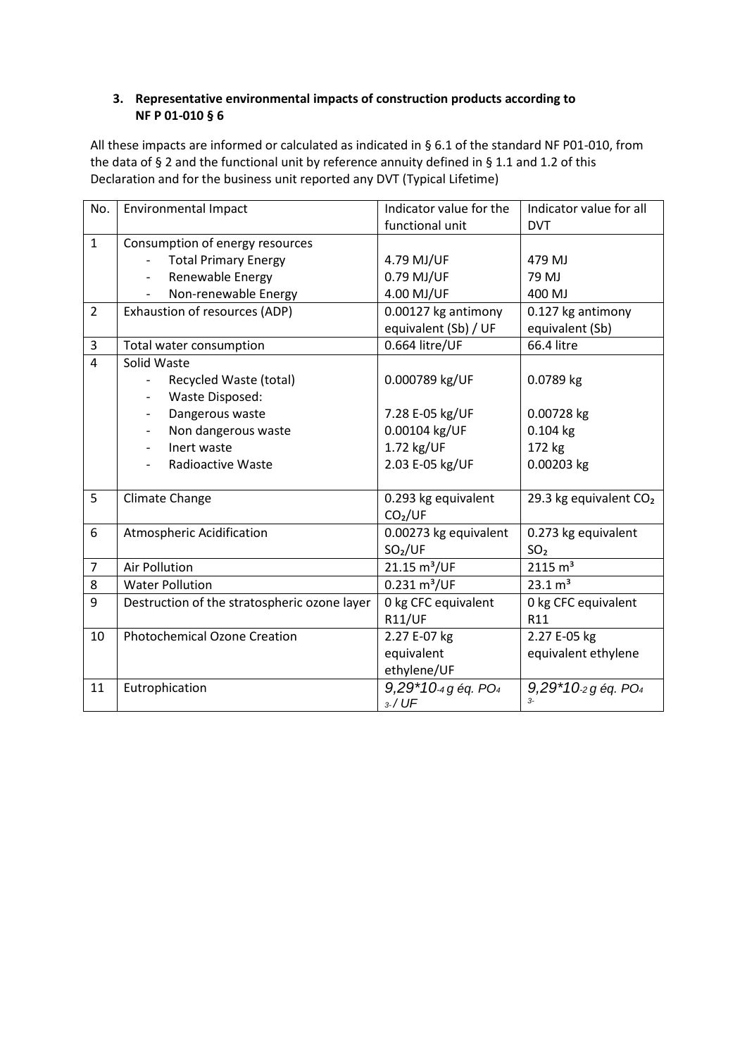### **3. Representative environmental impacts of construction products according to NF P 01-010 § 6**

All these impacts are informed or calculated as indicated in § 6.1 of the standard NF P01-010, from the data of § 2 and the functional unit by reference annuity defined in § 1.1 and 1.2 of this Declaration and for the business unit reported any DVT (Typical Lifetime)

| No.            | <b>Environmental Impact</b>                  | Indicator value for the       | Indicator value for all            |  |
|----------------|----------------------------------------------|-------------------------------|------------------------------------|--|
|                |                                              | functional unit               | <b>DVT</b>                         |  |
| $\mathbf{1}$   | Consumption of energy resources              |                               |                                    |  |
|                | <b>Total Primary Energy</b>                  | 4.79 MJ/UF                    | 479 MJ                             |  |
|                | Renewable Energy                             | 0.79 MJ/UF                    | 79 MJ                              |  |
|                | Non-renewable Energy                         | 4.00 MJ/UF                    | 400 MJ                             |  |
| $\overline{2}$ | Exhaustion of resources (ADP)                | 0.00127 kg antimony           | 0.127 kg antimony                  |  |
|                |                                              | equivalent (Sb) / UF          | equivalent (Sb)                    |  |
| 3              | Total water consumption                      | 0.664 litre/UF                | 66.4 litre                         |  |
| $\overline{4}$ | Solid Waste                                  |                               |                                    |  |
|                | Recycled Waste (total)                       | 0.000789 kg/UF                | 0.0789 kg                          |  |
|                | Waste Disposed:                              |                               |                                    |  |
|                | Dangerous waste                              | 7.28 E-05 kg/UF               | 0.00728 kg                         |  |
|                | Non dangerous waste                          | 0.00104 kg/UF                 | $0.104$ kg                         |  |
|                | Inert waste<br>$\overline{\phantom{0}}$      | 1.72 kg/UF                    | 172 kg                             |  |
|                | <b>Radioactive Waste</b>                     | 2.03 E-05 kg/UF               | 0.00203 kg                         |  |
|                |                                              |                               |                                    |  |
| 5              | Climate Change                               | 0.293 kg equivalent           | 29.3 kg equivalent CO <sub>2</sub> |  |
|                |                                              | CO <sub>2</sub> /UF           |                                    |  |
| 6              | Atmospheric Acidification                    | 0.00273 kg equivalent         | 0.273 kg equivalent                |  |
|                |                                              | SO <sub>2</sub> /UF           | SO <sub>2</sub>                    |  |
| $\overline{7}$ | <b>Air Pollution</b>                         | 21.15 m <sup>3</sup> /UF      | 2115 m <sup>3</sup>                |  |
| 8              | <b>Water Pollution</b>                       | $0.231 \text{ m}^3/\text{UF}$ | 23.1 m <sup>3</sup>                |  |
| 9              | Destruction of the stratospheric ozone layer | 0 kg CFC equivalent           | 0 kg CFC equivalent                |  |
|                |                                              | <b>R11/UF</b>                 | R11                                |  |
| 10             | <b>Photochemical Ozone Creation</b>          | 2.27 E-07 kg                  | 2.27 E-05 kg                       |  |
|                |                                              | equivalent                    | equivalent ethylene                |  |
|                |                                              | ethylene/UF                   |                                    |  |
| 11             | Eutrophication                               | 9,29*10-4 g éq. PO4           | 9,29*10-2 g éq. PO4                |  |
|                |                                              | $3.7$ UF                      | $\overline{R}$                     |  |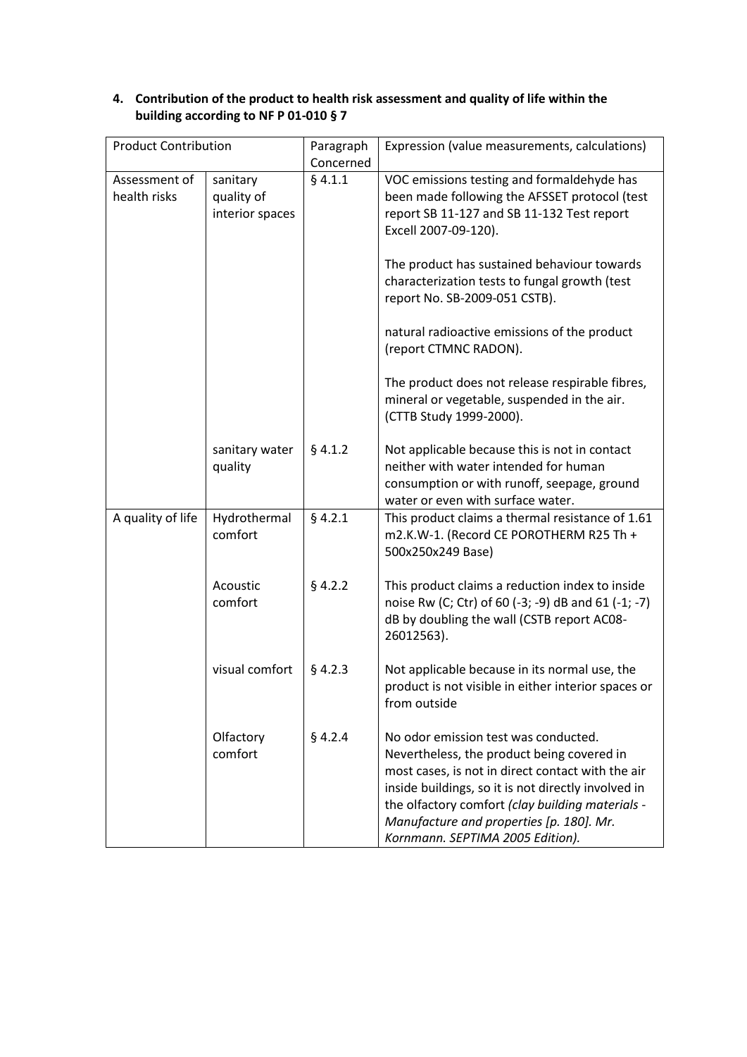| <b>Product Contribution</b>                                                |                           | Paragraph<br>Concerned | Expression (value measurements, calculations)                                                                                                                                                                                                                                                                                      |  |  |
|----------------------------------------------------------------------------|---------------------------|------------------------|------------------------------------------------------------------------------------------------------------------------------------------------------------------------------------------------------------------------------------------------------------------------------------------------------------------------------------|--|--|
| Assessment of<br>sanitary<br>health risks<br>quality of<br>interior spaces |                           | § 4.1.1                | VOC emissions testing and formaldehyde has<br>been made following the AFSSET protocol (test<br>report SB 11-127 and SB 11-132 Test report<br>Excell 2007-09-120).                                                                                                                                                                  |  |  |
|                                                                            |                           |                        | The product has sustained behaviour towards<br>characterization tests to fungal growth (test<br>report No. SB-2009-051 CSTB).                                                                                                                                                                                                      |  |  |
|                                                                            |                           |                        | natural radioactive emissions of the product<br>(report CTMNC RADON).                                                                                                                                                                                                                                                              |  |  |
|                                                                            |                           |                        | The product does not release respirable fibres,<br>mineral or vegetable, suspended in the air.<br>(CTTB Study 1999-2000).                                                                                                                                                                                                          |  |  |
|                                                                            | sanitary water<br>quality | $§$ 4.1.2              | Not applicable because this is not in contact<br>neither with water intended for human<br>consumption or with runoff, seepage, ground<br>water or even with surface water.                                                                                                                                                         |  |  |
| A quality of life                                                          | Hydrothermal<br>comfort   | $§$ 4.2.1              | This product claims a thermal resistance of 1.61<br>m2.K.W-1. (Record CE POROTHERM R25 Th +<br>500x250x249 Base)                                                                                                                                                                                                                   |  |  |
|                                                                            | Acoustic<br>comfort       | $§$ 4.2.2              | This product claims a reduction index to inside<br>noise Rw (C; Ctr) of 60 (-3; -9) dB and 61 (-1; -7)<br>dB by doubling the wall (CSTB report AC08-<br>26012563).                                                                                                                                                                 |  |  |
|                                                                            | visual comfort            | $§$ 4.2.3              | Not applicable because in its normal use, the<br>product is not visible in either interior spaces or<br>from outside                                                                                                                                                                                                               |  |  |
|                                                                            | Olfactory<br>comfort      | $§$ 4.2.4              | No odor emission test was conducted.<br>Nevertheless, the product being covered in<br>most cases, is not in direct contact with the air<br>inside buildings, so it is not directly involved in<br>the olfactory comfort (clay building materials -<br>Manufacture and properties [p. 180]. Mr.<br>Kornmann. SEPTIMA 2005 Edition). |  |  |

# **4. Contribution of the product to health risk assessment and quality of life within the building according to NF P 01-010 § 7**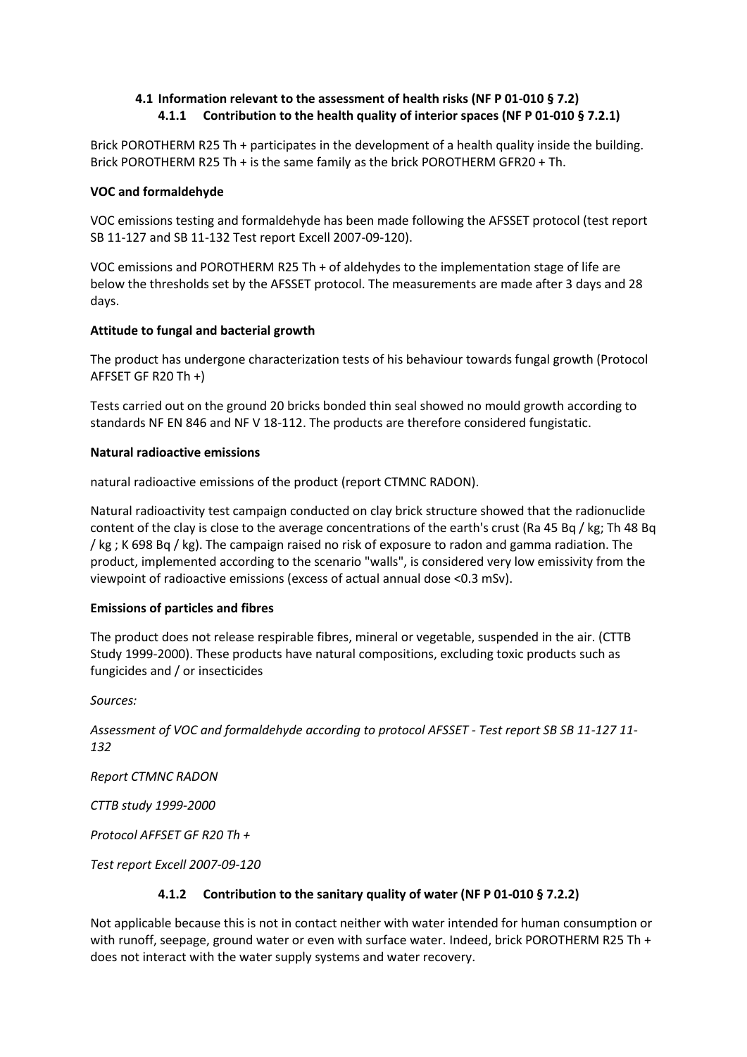### **4.1 Information relevant to the assessment of health risks (NF P 01-010 § 7.2) 4.1.1 Contribution to the health quality of interior spaces (NF P 01-010 § 7.2.1)**

Brick POROTHERM R25 Th + participates in the development of a health quality inside the building. Brick POROTHERM R25 Th + is the same family as the brick POROTHERM GFR20 + Th.

#### **VOC and formaldehyde**

VOC emissions testing and formaldehyde has been made following the AFSSET protocol (test report SB 11-127 and SB 11-132 Test report Excell 2007-09-120).

VOC emissions and POROTHERM R25 Th + of aldehydes to the implementation stage of life are below the thresholds set by the AFSSET protocol. The measurements are made after 3 days and 28 days.

#### **Attitude to fungal and bacterial growth**

The product has undergone characterization tests of his behaviour towards fungal growth (Protocol AFFSET GF R20 Th +)

Tests carried out on the ground 20 bricks bonded thin seal showed no mould growth according to standards NF EN 846 and NF V 18-112. The products are therefore considered fungistatic.

#### **Natural radioactive emissions**

natural radioactive emissions of the product (report CTMNC RADON).

Natural radioactivity test campaign conducted on clay brick structure showed that the radionuclide content of the clay is close to the average concentrations of the earth's crust (Ra 45 Bq / kg; Th 48 Bq / kg ; K 698 Bq / kg). The campaign raised no risk of exposure to radon and gamma radiation. The product, implemented according to the scenario "walls", is considered very low emissivity from the viewpoint of radioactive emissions (excess of actual annual dose <0.3 mSv).

#### **Emissions of particles and fibres**

The product does not release respirable fibres, mineral or vegetable, suspended in the air. (CTTB Study 1999-2000). These products have natural compositions, excluding toxic products such as fungicides and / or insecticides

*Sources:*

*Assessment of VOC and formaldehyde according to protocol AFSSET - Test report SB SB 11-127 11- 132*

*Report CTMNC RADON*

*CTTB study 1999-2000*

*Protocol AFFSET GF R20 Th +*

*Test report Excell 2007-09-120*

#### **4.1.2 Contribution to the sanitary quality of water (NF P 01-010 § 7.2.2)**

Not applicable because this is not in contact neither with water intended for human consumption or with runoff, seepage, ground water or even with surface water. Indeed, brick POROTHERM R25 Th + does not interact with the water supply systems and water recovery.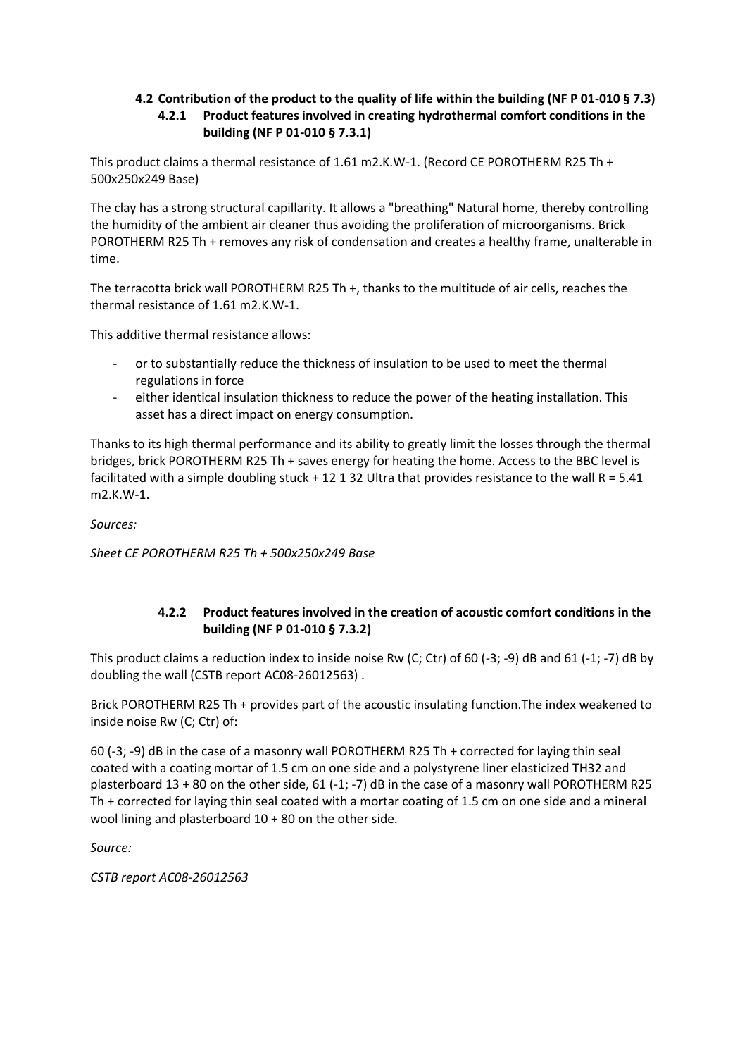# **4.2 Contribution of the product to the quality of life within the building (NF P 01-010 § 7.3) 4.2.1 Product features involved in creating hydrothermal comfort conditions in the building (NF P 01-010 § 7.3.1)**

This product claims a thermal resistance of 1.61 m2.K.W-1. (Record CE POROTHERM R25 Th + 500x250x249 Base)

The clay has a strong structural capillarity. It allows a "breathing" Natural home, thereby controlling the humidity of the ambient air cleaner thus avoiding the proliferation of microorganisms. Brick POROTHERM R25 Th + removes any risk of condensation and creates a healthy frame, unalterable in time.

The terracotta brick wall POROTHERM R25 Th +, thanks to the multitude of air cells, reaches the thermal resistance of 1.61 m2.K.W-1.

This additive thermal resistance allows:

- or to substantially reduce the thickness of insulation to be used to meet the thermal regulations in force
- either identical insulation thickness to reduce the power of the heating installation. This asset has a direct impact on energy consumption.

Thanks to its high thermal performance and its ability to greatly limit the losses through the thermal bridges, brick POROTHERM R25 Th + saves energy for heating the home. Access to the BBC level is facilitated with a simple doubling stuck  $+ 12 1 32$  Ultra that provides resistance to the wall R = 5.41 m2.K.W-1.

*Sources:*

*Sheet CE POROTHERM R25 Th + 500x250x249 Base*

# **4.2.2 Product features involved in the creation of acoustic comfort conditions in the building (NF P 01-010 § 7.3.2)**

This product claims a reduction index to inside noise Rw (C; Ctr) of 60 (-3; -9) dB and 61 (-1; -7) dB by doubling the wall (CSTB report AC08-26012563) .

Brick POROTHERM R25 Th + provides part of the acoustic insulating function.The index weakened to inside noise Rw (C; Ctr) of:

60 (-3; -9) dB in the case of a masonry wall POROTHERM R25 Th + corrected for laying thin seal coated with a coating mortar of 1.5 cm on one side and a polystyrene liner elasticized TH32 and plasterboard  $13 + 80$  on the other side, 61 (-1; -7) dB in the case of a masonry wall POROTHERM R25 Th + corrected for laying thin seal coated with a mortar coating of 1.5 cm on one side and a mineral wool lining and plasterboard 10 + 80 on the other side.

*Source:*

*CSTB report AC08-26012563*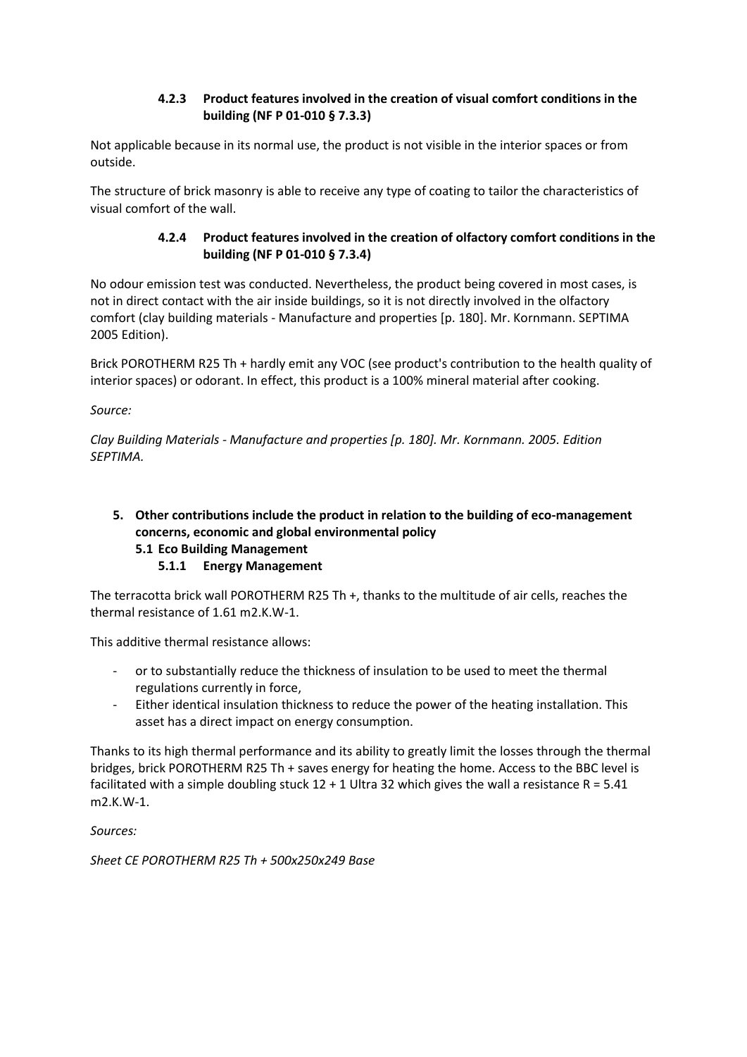## **4.2.3 Product features involved in the creation of visual comfort conditions in the building (NF P 01-010 § 7.3.3)**

Not applicable because in its normal use, the product is not visible in the interior spaces or from outside.

The structure of brick masonry is able to receive any type of coating to tailor the characteristics of visual comfort of the wall.

### **4.2.4 Product features involved in the creation of olfactory comfort conditions in the building (NF P 01-010 § 7.3.4)**

No odour emission test was conducted. Nevertheless, the product being covered in most cases, is not in direct contact with the air inside buildings, so it is not directly involved in the olfactory comfort (clay building materials - Manufacture and properties [p. 180]. Mr. Kornmann. SEPTIMA 2005 Edition).

Brick POROTHERM R25 Th + hardly emit any VOC (see product's contribution to the health quality of interior spaces) or odorant. In effect, this product is a 100% mineral material after cooking.

*Source:*

*Clay Building Materials - Manufacture and properties [p. 180]. Mr. Kornmann. 2005. Edition SEPTIMA.*

# **5. Other contributions include the product in relation to the building of eco-management concerns, economic and global environmental policy 5.1 Eco Building Management**

### **5.1.1 Energy Management**

The terracotta brick wall POROTHERM R25 Th +, thanks to the multitude of air cells, reaches the thermal resistance of 1.61 m2.K.W-1.

This additive thermal resistance allows:

- or to substantially reduce the thickness of insulation to be used to meet the thermal regulations currently in force,
- Either identical insulation thickness to reduce the power of the heating installation. This asset has a direct impact on energy consumption.

Thanks to its high thermal performance and its ability to greatly limit the losses through the thermal bridges, brick POROTHERM R25 Th + saves energy for heating the home. Access to the BBC level is facilitated with a simple doubling stuck  $12 + 1$  Ultra 32 which gives the wall a resistance R = 5.41 m2.K.W-1.

*Sources:*

*Sheet CE POROTHERM R25 Th + 500x250x249 Base*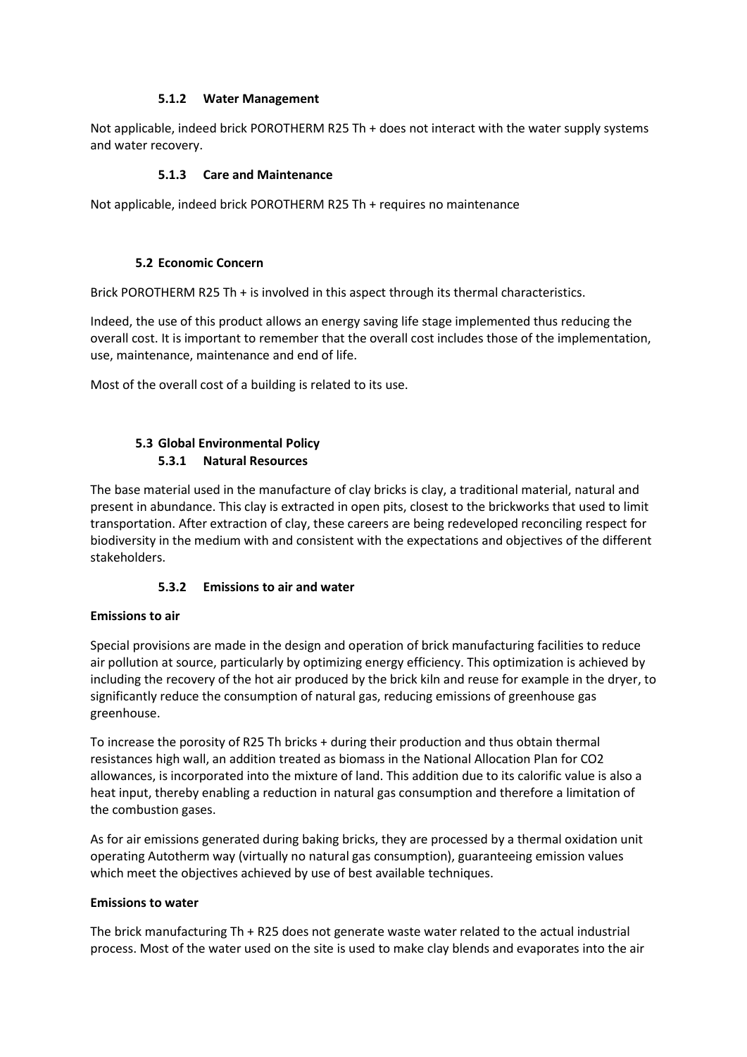### **5.1.2 Water Management**

Not applicable, indeed brick POROTHERM R25 Th + does not interact with the water supply systems and water recovery.

### **5.1.3 Care and Maintenance**

Not applicable, indeed brick POROTHERM R25 Th + requires no maintenance

### **5.2 Economic Concern**

Brick POROTHERM R25 Th + is involved in this aspect through its thermal characteristics.

Indeed, the use of this product allows an energy saving life stage implemented thus reducing the overall cost. It is important to remember that the overall cost includes those of the implementation, use, maintenance, maintenance and end of life.

Most of the overall cost of a building is related to its use.

# **5.3 Global Environmental Policy 5.3.1 Natural Resources**

The base material used in the manufacture of clay bricks is clay, a traditional material, natural and present in abundance. This clay is extracted in open pits, closest to the brickworks that used to limit transportation. After extraction of clay, these careers are being redeveloped reconciling respect for biodiversity in the medium with and consistent with the expectations and objectives of the different stakeholders.

### **5.3.2 Emissions to air and water**

### **Emissions to air**

Special provisions are made in the design and operation of brick manufacturing facilities to reduce air pollution at source, particularly by optimizing energy efficiency. This optimization is achieved by including the recovery of the hot air produced by the brick kiln and reuse for example in the dryer, to significantly reduce the consumption of natural gas, reducing emissions of greenhouse gas greenhouse.

To increase the porosity of R25 Th bricks + during their production and thus obtain thermal resistances high wall, an addition treated as biomass in the National Allocation Plan for CO2 allowances, is incorporated into the mixture of land. This addition due to its calorific value is also a heat input, thereby enabling a reduction in natural gas consumption and therefore a limitation of the combustion gases.

As for air emissions generated during baking bricks, they are processed by a thermal oxidation unit operating Autotherm way (virtually no natural gas consumption), guaranteeing emission values which meet the objectives achieved by use of best available techniques.

### **Emissions to water**

The brick manufacturing Th + R25 does not generate waste water related to the actual industrial process. Most of the water used on the site is used to make clay blends and evaporates into the air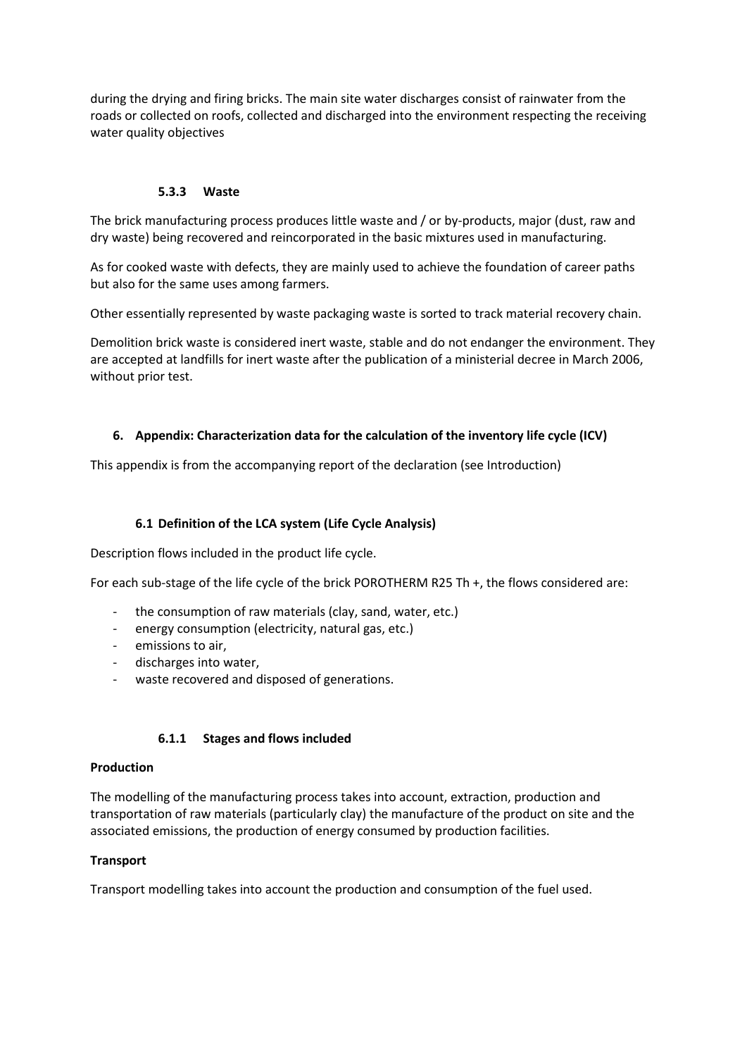during the drying and firing bricks. The main site water discharges consist of rainwater from the roads or collected on roofs, collected and discharged into the environment respecting the receiving water quality objectives

### **5.3.3 Waste**

The brick manufacturing process produces little waste and / or by-products, major (dust, raw and dry waste) being recovered and reincorporated in the basic mixtures used in manufacturing.

As for cooked waste with defects, they are mainly used to achieve the foundation of career paths but also for the same uses among farmers.

Other essentially represented by waste packaging waste is sorted to track material recovery chain.

Demolition brick waste is considered inert waste, stable and do not endanger the environment. They are accepted at landfills for inert waste after the publication of a ministerial decree in March 2006, without prior test.

### **6. Appendix: Characterization data for the calculation of the inventory life cycle (ICV)**

This appendix is from the accompanying report of the declaration (see Introduction)

## **6.1 Definition of the LCA system (Life Cycle Analysis)**

Description flows included in the product life cycle.

For each sub-stage of the life cycle of the brick POROTHERM R25 Th +, the flows considered are:

- the consumption of raw materials (clay, sand, water, etc.)
- energy consumption (electricity, natural gas, etc.)
- emissions to air,
- discharges into water,
- waste recovered and disposed of generations.

#### **6.1.1 Stages and flows included**

#### **Production**

The modelling of the manufacturing process takes into account, extraction, production and transportation of raw materials (particularly clay) the manufacture of the product on site and the associated emissions, the production of energy consumed by production facilities.

### **Transport**

Transport modelling takes into account the production and consumption of the fuel used.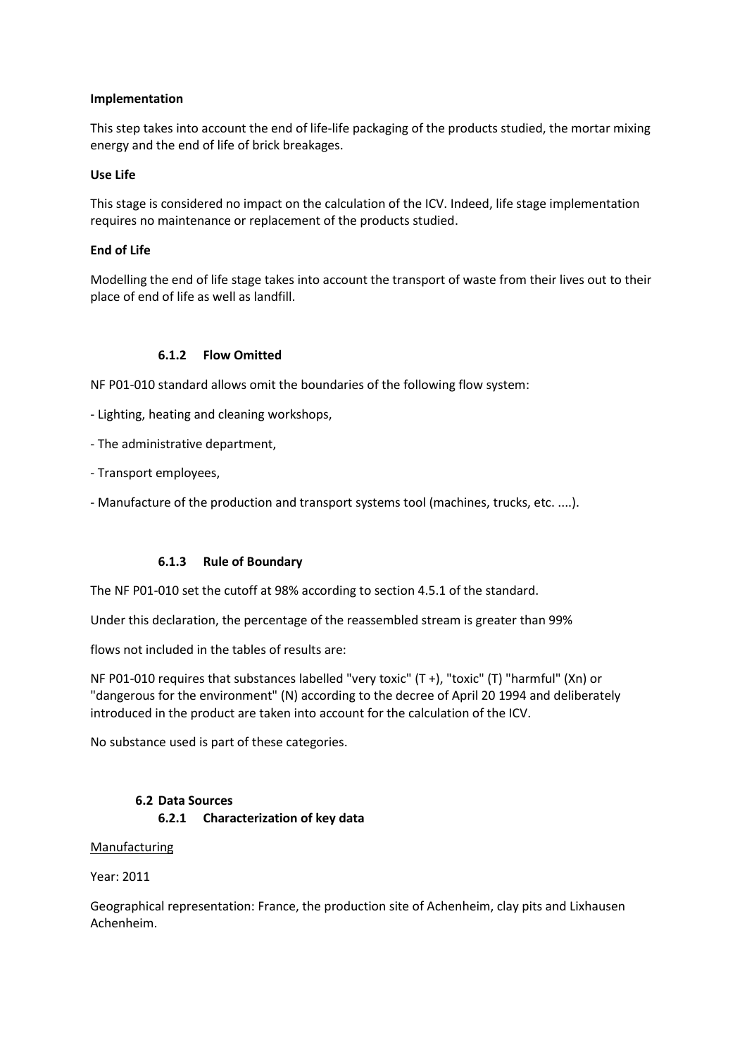#### **Implementation**

This step takes into account the end of life-life packaging of the products studied, the mortar mixing energy and the end of life of brick breakages.

### **Use Life**

This stage is considered no impact on the calculation of the ICV. Indeed, life stage implementation requires no maintenance or replacement of the products studied.

#### **End of Life**

Modelling the end of life stage takes into account the transport of waste from their lives out to their place of end of life as well as landfill.

#### **6.1.2 Flow Omitted**

NF P01-010 standard allows omit the boundaries of the following flow system:

- Lighting, heating and cleaning workshops,
- The administrative department,
- Transport employees,
- Manufacture of the production and transport systems tool (machines, trucks, etc. ....).

#### **6.1.3 Rule of Boundary**

The NF P01-010 set the cutoff at 98% according to section 4.5.1 of the standard.

Under this declaration, the percentage of the reassembled stream is greater than 99%

flows not included in the tables of results are:

NF P01-010 requires that substances labelled "very toxic" (T +), "toxic" (T) "harmful" (Xn) or "dangerous for the environment" (N) according to the decree of April 20 1994 and deliberately introduced in the product are taken into account for the calculation of the ICV.

No substance used is part of these categories.

### **6.2 Data Sources 6.2.1 Characterization of key data**

#### Manufacturing

Year: 2011

Geographical representation: France, the production site of Achenheim, clay pits and Lixhausen Achenheim.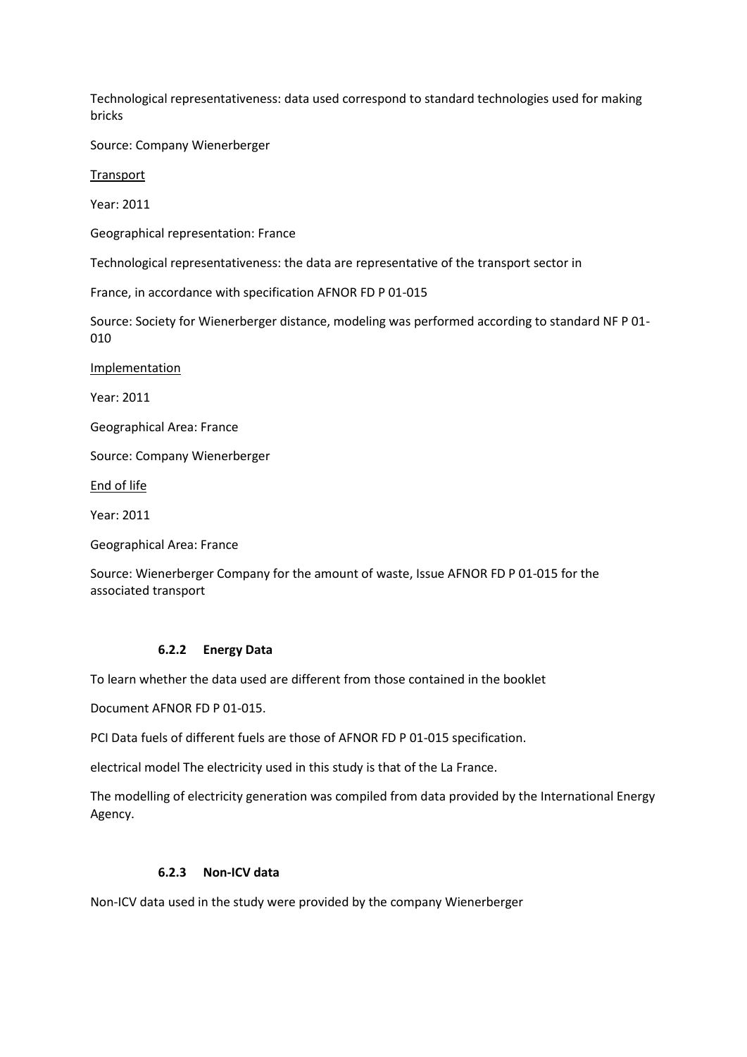Technological representativeness: data used correspond to standard technologies used for making bricks

Source: Company Wienerberger

**Transport** 

Year: 2011

Geographical representation: France

Technological representativeness: the data are representative of the transport sector in

France, in accordance with specification AFNOR FD P 01-015

Source: Society for Wienerberger distance, modeling was performed according to standard NF P 01- 010

Implementation

Year: 2011

Geographical Area: France

Source: Company Wienerberger

End of life

Year: 2011

Geographical Area: France

Source: Wienerberger Company for the amount of waste, Issue AFNOR FD P 01-015 for the associated transport

#### **6.2.2 Energy Data**

To learn whether the data used are different from those contained in the booklet

Document AFNOR FD P 01-015.

PCI Data fuels of different fuels are those of AFNOR FD P 01-015 specification.

electrical model The electricity used in this study is that of the La France.

The modelling of electricity generation was compiled from data provided by the International Energy Agency.

#### **6.2.3 Non-ICV data**

Non-ICV data used in the study were provided by the company Wienerberger